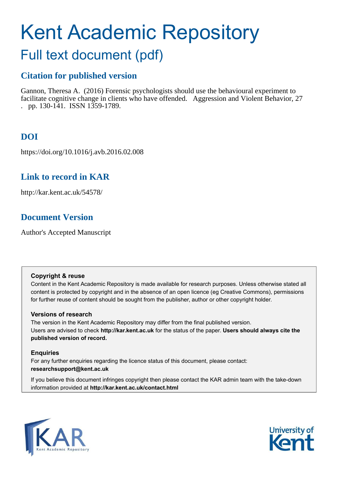# Kent Academic Repository

## Full text document (pdf)

### **Citation for published version**

Gannon, Theresa A. (2016) Forensic psychologists should use the behavioural experiment to facilitate cognitive change in clients who have offended. Aggression and Violent Behavior, 27 . pp. 130-141. ISSN 1359-1789.

## **DOI**

https://doi.org/10.1016/j.avb.2016.02.008

## **Link to record in KAR**

http://kar.kent.ac.uk/54578/

## **Document Version**

Author's Accepted Manuscript

#### **Copyright & reuse**

Content in the Kent Academic Repository is made available for research purposes. Unless otherwise stated all content is protected by copyright and in the absence of an open licence (eg Creative Commons), permissions for further reuse of content should be sought from the publisher, author or other copyright holder.

#### **Versions of research**

The version in the Kent Academic Repository may differ from the final published version. Users are advised to check **http://kar.kent.ac.uk** for the status of the paper. **Users should always cite the published version of record.**

#### **Enquiries**

For any further enquiries regarding the licence status of this document, please contact: **researchsupport@kent.ac.uk**

If you believe this document infringes copyright then please contact the KAR admin team with the take-down information provided at **http://kar.kent.ac.uk/contact.html**



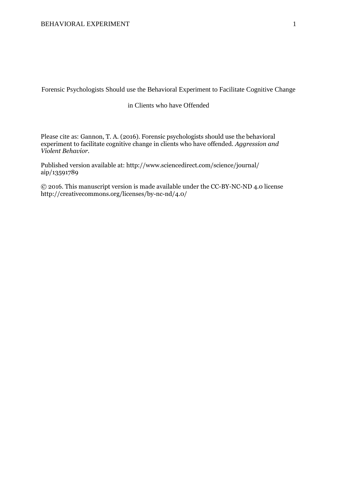Forensic Psychologists Should use the Behavioral Experiment to Facilitate Cognitive Change

#### in Clients who have Offended

Please cite as: Gannon, T. A. (2016). Forensic psychologists should use the behavioral experiment to facilitate cognitive change in clients who have offended. *Aggression and Violent Behavior.* 

Published version available at: http://www.sciencedirect.com/science/journal/ aip/13591789

© 2016. This manuscript version is made available under the CC-BY-NC-ND 4.0 license http://creativecommons.org/licenses/by-nc-nd/4.0/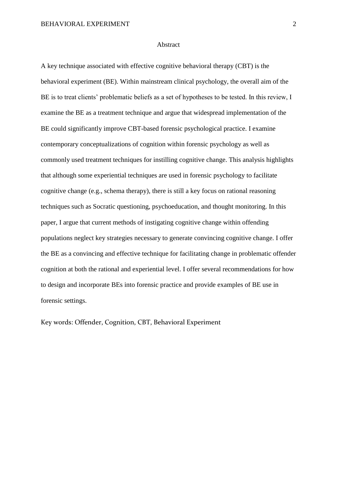#### Abstract

A key technique associated with effective cognitive behavioral therapy (CBT) is the behavioral experiment (BE). Within mainstream clinical psychology, the overall aim of the BE is to treat clients' problematic beliefs as a set of hypotheses to be tested. In this review, I examine the BE as a treatment technique and argue that widespread implementation of the BE could significantly improve CBT-based forensic psychological practice. I examine contemporary conceptualizations of cognition within forensic psychology as well as commonly used treatment techniques for instilling cognitive change. This analysis highlights that although some experiential techniques are used in forensic psychology to facilitate cognitive change (e.g., schema therapy), there is still a key focus on rational reasoning techniques such as Socratic questioning, psychoeducation, and thought monitoring. In this paper, I argue that current methods of instigating cognitive change within offending populations neglect key strategies necessary to generate convincing cognitive change. I offer the BE as a convincing and effective technique for facilitating change in problematic offender cognition at both the rational and experiential level. I offer several recommendations for how to design and incorporate BEs into forensic practice and provide examples of BE use in forensic settings.

Key words: Offender, Cognition, CBT, Behavioral Experiment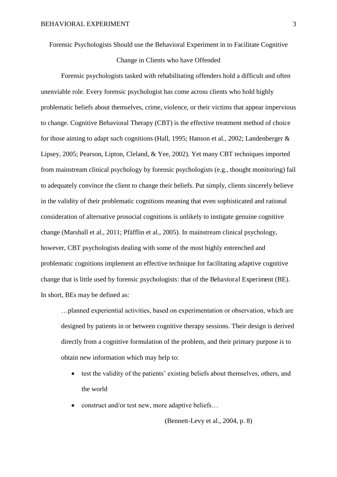Forensic Psychologists Should use the Behavioral Experiment in to Facilitate Cognitive

#### Change in Clients who have Offended

Forensic psychologists tasked with rehabilitating offenders hold a difficult and often unenviable role. Every forensic psychologist has come across clients who hold highly problematic beliefs about themselves, crime, violence, or their victims that appear impervious to change. Cognitive Behavioral Therapy (CBT) is the effective treatment method of choice for those aiming to adapt such cognitions (Hall, 1995; Hanson et al., 2002; Landenberger & Lipsey, 2005; Pearson, Lipton, Cleland, & Yee, 2002). Yet many CBT techniques imported from mainstream clinical psychology by forensic psychologists (e.g., thought monitoring) fail to adequately convince the client to change their beliefs. Put simply, clients sincerely believe in the validity of their problematic cognitions meaning that even sophisticated and rational consideration of alternative prosocial cognitions is unlikely to instigate genuine cognitive change (Marshall et al., 2011; Pfäfflin et al., 2005). In mainstream clinical psychology, however, CBT psychologists dealing with some of the most highly entrenched and problematic cognitions implement an effective technique for facilitating adaptive cognitive change that is little used by forensic psychologists: that of the Behavioral Experiment (BE). In short, BEs may be defined as:

…planned experiential activities, based on experimentation or observation, which are designed by patients in or between cognitive therapy sessions. Their design is derived directly from a cognitive formulation of the problem, and their primary purpose is to obtain new information which may help to:

- test the validity of the patients' existing beliefs about themselves, others, and the world
- construct and/or test new, more adaptive beliefs…

(Bennett-Levy et al., 2004, p. 8)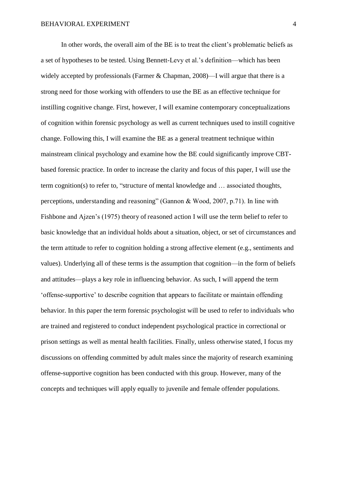In other words, the overall aim of the BE is to treat the client's problematic beliefs as a set of hypotheses to be tested. Using Bennett-Levy et al.'s definition—which has been widely accepted by professionals (Farmer & Chapman, 2008)—I will argue that there is a strong need for those working with offenders to use the BE as an effective technique for instilling cognitive change. First, however, I will examine contemporary conceptualizations of cognition within forensic psychology as well as current techniques used to instill cognitive change. Following this, I will examine the BE as a general treatment technique within mainstream clinical psychology and examine how the BE could significantly improve CBTbased forensic practice. In order to increase the clarity and focus of this paper, I will use the term cognition(s) to refer to, "structure of mental knowledge and … associated thoughts, perceptions, understanding and reasoning" (Gannon & Wood, 2007, p.71). In line with Fishbone and Ajzen's (1975) theory of reasoned action I will use the term belief to refer to basic knowledge that an individual holds about a situation, object, or set of circumstances and the term attitude to refer to cognition holding a strong affective element (e.g., sentiments and values). Underlying all of these terms is the assumption that cognition—in the form of beliefs and attitudes—plays a key role in influencing behavior. As such, I will append the term 'offense-supportive' to describe cognition that appears to facilitate or maintain offending behavior. In this paper the term forensic psychologist will be used to refer to individuals who are trained and registered to conduct independent psychological practice in correctional or prison settings as well as mental health facilities. Finally, unless otherwise stated, I focus my discussions on offending committed by adult males since the majority of research examining offense-supportive cognition has been conducted with this group. However, many of the concepts and techniques will apply equally to juvenile and female offender populations.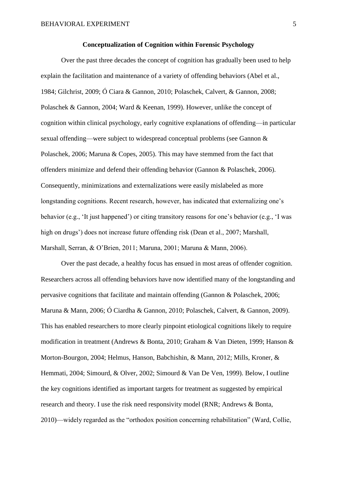#### **Conceptualization of Cognition within Forensic Psychology**

Over the past three decades the concept of cognition has gradually been used to help explain the facilitation and maintenance of a variety of offending behaviors (Abel et al., 1984; Gilchrist, 2009; Ó Ciara & Gannon, 2010; Polaschek, Calvert, & Gannon, 2008; Polaschek & Gannon, 2004; Ward & Keenan, 1999). However, unlike the concept of cognition within clinical psychology, early cognitive explanations of offending—in particular sexual offending—were subject to widespread conceptual problems (see Gannon & Polaschek, 2006; Maruna & Copes, 2005). This may have stemmed from the fact that offenders minimize and defend their offending behavior (Gannon & Polaschek, 2006). Consequently, minimizations and externalizations were easily mislabeled as more longstanding cognitions. Recent research, however, has indicated that externalizing one's behavior (e.g., 'It just happened') or citing transitory reasons for one's behavior (e.g., 'I was high on drugs') does not increase future offending risk (Dean et al., 2007; Marshall, Marshall, Serran, & O'Brien, 2011; Maruna, 2001; Maruna & Mann, 2006).

Over the past decade, a healthy focus has ensued in most areas of offender cognition. Researchers across all offending behaviors have now identified many of the longstanding and pervasive cognitions that facilitate and maintain offending (Gannon & Polaschek, 2006; Maruna & Mann, 2006; Ó Ciardha & Gannon, 2010; Polaschek, Calvert, & Gannon, 2009). This has enabled researchers to more clearly pinpoint etiological cognitions likely to require modification in treatment (Andrews & Bonta, 2010; Graham & Van Dieten, 1999; Hanson & Morton-Bourgon, 2004; Helmus, Hanson, Babchishin, & Mann, 2012; Mills, Kroner, & Hemmati, 2004; Simourd, & Olver, 2002; Simourd & Van De Ven, 1999). Below, I outline the key cognitions identified as important targets for treatment as suggested by empirical research and theory. I use the risk need responsivity model (RNR; Andrews & Bonta, 2010)—widely regarded as the "orthodox position concerning rehabilitation" (Ward, Collie,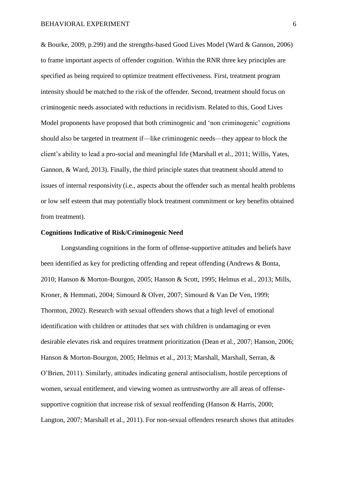& Bourke, 2009, p.299) and the strengths-based Good Lives Model (Ward & Gannon, 2006) to frame important aspects of offender cognition. Within the RNR three key principles are specified as being required to optimize treatment effectiveness. First, treatment program intensity should be matched to the risk of the offender. Second, treatment should focus on criminogenic needs associated with reductions in recidivism. Related to this, Good Lives Model proponents have proposed that both criminogenic and 'non criminogenic' cognitions should also be targeted in treatment if—like criminogenic needs—they appear to block the client's ability to lead a pro-social and meaningful life (Marshall et al., 2011; Willis, Yates, Gannon, & Ward, 2013). Finally, the third principle states that treatment should attend to issues of internal responsivity (i.e., aspects about the offender such as mental health problems or low self esteem that may potentially block treatment commitment or key benefits obtained from treatment).

#### **Cognitions Indicative of Risk/Criminogenic Need**

Longstanding cognitions in the form of offense-supportive attitudes and beliefs have been identified as key for predicting offending and repeat offending (Andrews & Bonta, 2010; Hanson & Morton-Bourgon, 2005; Hanson & Scott, 1995; Helmus et al., 2013; Mills, Kroner, & Hemmati, 2004; Simourd & Olver, 2007; Simourd & Van De Ven, 1999; Thornton, 2002). Research with sexual offenders shows that a high level of emotional identification with children or attitudes that sex with children is undamaging or even desirable elevates risk and requires treatment prioritization (Dean et al., 2007; Hanson, 2006; Hanson & Morton-Bourgon, 2005; Helmus et al., 2013; Marshall, Marshall, Serran, & O'Brien, 2011). Similarly, attitudes indicating general antisocialism, hostile perceptions of women, sexual entitlement, and viewing women as untrustworthy are all areas of offensesupportive cognition that increase risk of sexual reoffending (Hanson & Harris, 2000; Langton, 2007; Marshall et al., 2011). For non-sexual offenders research shows that attitudes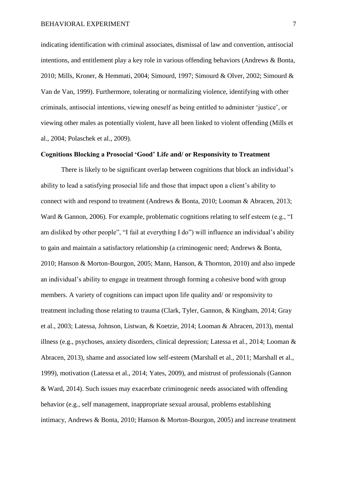indicating identification with criminal associates, dismissal of law and convention, antisocial intentions, and entitlement play a key role in various offending behaviors (Andrews & Bonta, 2010; Mills, Kroner, & Hemmati, 2004; Simourd, 1997; Simourd & Olver, 2002; Simourd & Van de Van, 1999). Furthermore, tolerating or normalizing violence, identifying with other criminals, antisocial intentions, viewing oneself as being entitled to administer 'justice', or viewing other males as potentially violent, have all been linked to violent offending (Mills et al., 2004; Polaschek et al., 2009).

#### **Cognitions Blocking a Prosocial 'Good' Life and/ or Responsivity to Treatment**

 There is likely to be significant overlap between cognitions that block an individual's ability to lead a satisfying prosocial life and those that impact upon a client's ability to connect with and respond to treatment (Andrews & Bonta, 2010; Looman & Abracen, 2013; Ward & Gannon, 2006). For example, problematic cognitions relating to self esteem (e.g., "I am disliked by other people", "I fail at everything I do") will influence an individual's ability to gain and maintain a satisfactory relationship (a criminogenic need; Andrews & Bonta, 2010; Hanson & Morton-Bourgon, 2005; Mann, Hanson, & Thornton, 2010) and also impede an individual's ability to engage in treatment through forming a cohesive bond with group members. A variety of cognitions can impact upon life quality and/ or responsivity to treatment including those relating to trauma (Clark, Tyler, Gannon, & Kingham, 2014; Gray et al., 2003; Latessa, Johnson, Listwan, & Koetzie, 2014; Looman & Abracen, 2013), mental illness (e.g., psychoses, anxiety disorders, clinical depression; Latessa et al., 2014; Looman & Abracen, 2013), shame and associated low self-esteem (Marshall et al., 2011; Marshall et al., 1999), motivation (Latessa et al., 2014; Yates, 2009), and mistrust of professionals (Gannon & Ward, 2014). Such issues may exacerbate criminogenic needs associated with offending behavior (e.g., self management, inappropriate sexual arousal, problems establishing intimacy, Andrews & Bonta, 2010; Hanson & Morton-Bourgon, 2005) and increase treatment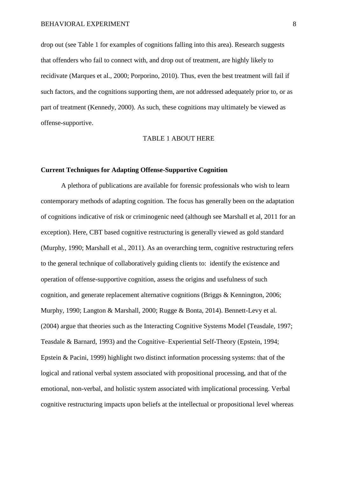drop out (see Table 1 for examples of cognitions falling into this area). Research suggests that offenders who fail to connect with, and drop out of treatment, are highly likely to recidivate (Marques et al., 2000; Porporino, 2010). Thus, even the best treatment will fail if such factors, and the cognitions supporting them, are not addressed adequately prior to, or as part of treatment (Kennedy, 2000). As such, these cognitions may ultimately be viewed as offense-supportive.

#### TABLE 1 ABOUT HERE

#### **Current Techniques for Adapting Offense-Supportive Cognition**

A plethora of publications are available for forensic professionals who wish to learn contemporary methods of adapting cognition. The focus has generally been on the adaptation of cognitions indicative of risk or criminogenic need (although see Marshall et al, 2011 for an exception). Here, CBT based cognitive restructuring is generally viewed as gold standard (Murphy, 1990; Marshall et al., 2011). As an overarching term, cognitive restructuring refers to the general technique of collaboratively guiding clients to: identify the existence and operation of offense-supportive cognition, assess the origins and usefulness of such cognition, and generate replacement alternative cognitions (Briggs & Kennington, 2006; Murphy, 1990; Langton & Marshall, 2000; Rugge & Bonta, 2014). Bennett-Levy et al. (2004) argue that theories such as the Interacting Cognitive Systems Model (Teasdale, 1997; Teasdale & Barnard, 1993) and the Cognitive–Experiential Self-Theory (Epstein, 1994; Epstein & Pacini, 1999) highlight two distinct information processing systems: that of the logical and rational verbal system associated with propositional processing, and that of the emotional, non-verbal, and holistic system associated with implicational processing. Verbal cognitive restructuring impacts upon beliefs at the intellectual or propositional level whereas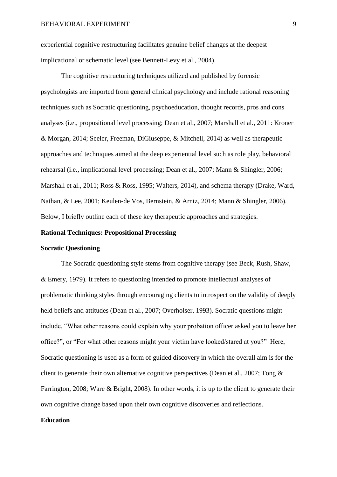experiential cognitive restructuring facilitates genuine belief changes at the deepest implicational or schematic level (see Bennett-Levy et al., 2004).

The cognitive restructuring techniques utilized and published by forensic psychologists are imported from general clinical psychology and include rational reasoning techniques such as Socratic questioning, psychoeducation, thought records, pros and cons analyses (i.e., propositional level processing; Dean et al., 2007; Marshall et al., 2011: Kroner & Morgan, 2014; Seeler, Freeman, DiGiuseppe, & Mitchell, 2014) as well as therapeutic approaches and techniques aimed at the deep experiential level such as role play, behavioral rehearsal (i.e., implicational level processing; Dean et al., 2007; Mann & Shingler, 2006; Marshall et al., 2011; Ross & Ross, 1995; Walters, 2014), and schema therapy (Drake, Ward, Nathan, & Lee, 2001; Keulen-de Vos, Bernstein, & Arntz, 2014; Mann & Shingler, 2006). Below, I briefly outline each of these key therapeutic approaches and strategies.

#### **Rational Techniques: Propositional Processing**

#### **Socratic Questioning**

The Socratic questioning style stems from cognitive therapy (see Beck, Rush, Shaw, & Emery, 1979). It refers to questioning intended to promote intellectual analyses of problematic thinking styles through encouraging clients to introspect on the validity of deeply held beliefs and attitudes (Dean et al., 2007; Overholser, 1993). Socratic questions might include, "What other reasons could explain why your probation officer asked you to leave her office?", or "For what other reasons might your victim have looked/stared at you?" Here, Socratic questioning is used as a form of guided discovery in which the overall aim is for the client to generate their own alternative cognitive perspectives (Dean et al., 2007; Tong & Farrington, 2008; Ware & Bright, 2008). In other words, it is up to the client to generate their own cognitive change based upon their own cognitive discoveries and reflections.

#### **Education**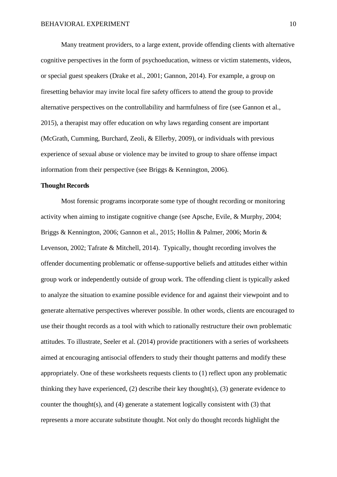Many treatment providers, to a large extent, provide offending clients with alternative cognitive perspectives in the form of psychoeducation, witness or victim statements, videos, or special guest speakers (Drake et al., 2001; Gannon, 2014). For example, a group on firesetting behavior may invite local fire safety officers to attend the group to provide alternative perspectives on the controllability and harmfulness of fire (see Gannon et al., 2015), a therapist may offer education on why laws regarding consent are important (McGrath, Cumming, Burchard, Zeoli, & Ellerby, 2009), or individuals with previous experience of sexual abuse or violence may be invited to group to share offense impact information from their perspective (see Briggs & Kennington, 2006).

#### **Thought Records**

 Most forensic programs incorporate some type of thought recording or monitoring activity when aiming to instigate cognitive change (see Apsche, Evile, & Murphy, 2004; Briggs & Kennington, 2006; Gannon et al., 2015; Hollin & Palmer, 2006; Morin & Levenson, 2002; Tafrate & Mitchell, 2014). Typically, thought recording involves the offender documenting problematic or offense-supportive beliefs and attitudes either within group work or independently outside of group work. The offending client is typically asked to analyze the situation to examine possible evidence for and against their viewpoint and to generate alternative perspectives wherever possible. In other words, clients are encouraged to use their thought records as a tool with which to rationally restructure their own problematic attitudes. To illustrate, Seeler et al. (2014) provide practitioners with a series of worksheets aimed at encouraging antisocial offenders to study their thought patterns and modify these appropriately. One of these worksheets requests clients to (1) reflect upon any problematic thinking they have experienced,  $(2)$  describe their key thought $(s)$ ,  $(3)$  generate evidence to counter the thought(s), and (4) generate a statement logically consistent with (3) that represents a more accurate substitute thought. Not only do thought records highlight the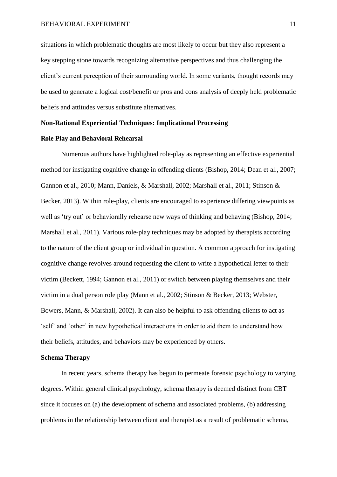situations in which problematic thoughts are most likely to occur but they also represent a key stepping stone towards recognizing alternative perspectives and thus challenging the client's current perception of their surrounding world. In some variants, thought records may be used to generate a logical cost/benefit or pros and cons analysis of deeply held problematic beliefs and attitudes versus substitute alternatives.

#### **Non-Rational Experiential Techniques: Implicational Processing**

#### **Role Play and Behavioral Rehearsal**

Numerous authors have highlighted role-play as representing an effective experiential method for instigating cognitive change in offending clients (Bishop, 2014; Dean et al., 2007; Gannon et al., 2010; Mann, Daniels, & Marshall, 2002; Marshall et al., 2011; Stinson & Becker, 2013). Within role-play, clients are encouraged to experience differing viewpoints as well as 'try out' or behaviorally rehearse new ways of thinking and behaving (Bishop, 2014; Marshall et al., 2011). Various role-play techniques may be adopted by therapists according to the nature of the client group or individual in question. A common approach for instigating cognitive change revolves around requesting the client to write a hypothetical letter to their victim (Beckett, 1994; Gannon et al., 2011) or switch between playing themselves and their victim in a dual person role play (Mann et al., 2002; Stinson & Becker, 2013; Webster, Bowers, Mann, & Marshall, 2002). It can also be helpful to ask offending clients to act as 'self' and 'other' in new hypothetical interactions in order to aid them to understand how their beliefs, attitudes, and behaviors may be experienced by others.

#### **Schema Therapy**

In recent years, schema therapy has begun to permeate forensic psychology to varying degrees. Within general clinical psychology, schema therapy is deemed distinct from CBT since it focuses on (a) the development of schema and associated problems, (b) addressing problems in the relationship between client and therapist as a result of problematic schema,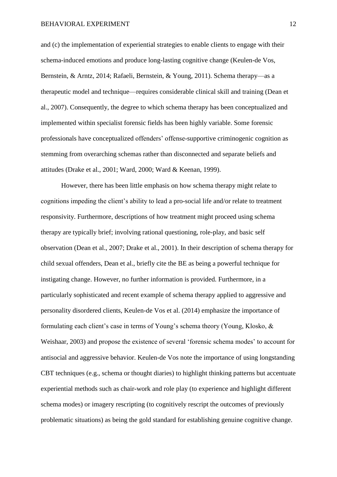and (c) the implementation of experiential strategies to enable clients to engage with their schema-induced emotions and produce long-lasting cognitive change (Keulen-de Vos, Bernstein, & Arntz, 2014; Rafaeli, Bernstein, & Young, 2011). Schema therapy—as a therapeutic model and technique—requires considerable clinical skill and training (Dean et al., 2007). Consequently, the degree to which schema therapy has been conceptualized and implemented within specialist forensic fields has been highly variable. Some forensic professionals have conceptualized offenders' offense-supportive criminogenic cognition as stemming from overarching schemas rather than disconnected and separate beliefs and attitudes (Drake et al., 2001; Ward, 2000; Ward & Keenan, 1999).

However, there has been little emphasis on how schema therapy might relate to cognitions impeding the client's ability to lead a pro-social life and/or relate to treatment responsivity. Furthermore, descriptions of how treatment might proceed using schema therapy are typically brief; involving rational questioning, role-play, and basic self observation (Dean et al., 2007; Drake et al., 2001). In their description of schema therapy for child sexual offenders, Dean et al., briefly cite the BE as being a powerful technique for instigating change. However, no further information is provided. Furthermore, in a particularly sophisticated and recent example of schema therapy applied to aggressive and personality disordered clients, Keulen-de Vos et al. (2014) emphasize the importance of formulating each client's case in terms of Young's schema theory (Young, Klosko, & Weishaar, 2003) and propose the existence of several 'forensic schema modes' to account for antisocial and aggressive behavior. Keulen-de Vos note the importance of using longstanding CBT techniques (e.g., schema or thought diaries) to highlight thinking patterns but accentuate experiential methods such as chair-work and role play (to experience and highlight different schema modes) or imagery rescripting (to cognitively rescript the outcomes of previously problematic situations) as being the gold standard for establishing genuine cognitive change.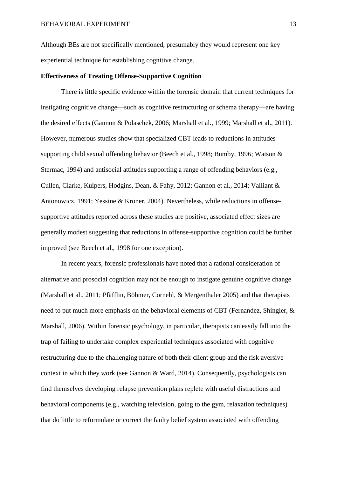Although BEs are not specifically mentioned, presumably they would represent one key experiential technique for establishing cognitive change.

#### **Effectiveness of Treating Offense-Supportive Cognition**

There is little specific evidence within the forensic domain that current techniques for instigating cognitive change—such as cognitive restructuring or schema therapy—are having the desired effects (Gannon & Polaschek, 2006; Marshall et al., 1999; Marshall et al., 2011). However, numerous studies show that specialized CBT leads to reductions in attitudes supporting child sexual offending behavior (Beech et al., 1998; Bumby, 1996; Watson & Stermac, 1994) and antisocial attitudes supporting a range of offending behaviors (e.g., Cullen, Clarke, Kuipers, Hodgins, Dean, & Fahy, 2012; Gannon et al., 2014; Valliant & Antonowicz, 1991; Yessine & Kroner, 2004). Nevertheless, while reductions in offensesupportive attitudes reported across these studies are positive, associated effect sizes are generally modest suggesting that reductions in offense-supportive cognition could be further improved (see Beech et al., 1998 for one exception).

In recent years, forensic professionals have noted that a rational consideration of alternative and prosocial cognition may not be enough to instigate genuine cognitive change (Marshall et al., 2011; Pfäfflin, Böhmer, Cornehl, & Mergenthaler 2005) and that therapists need to put much more emphasis on the behavioral elements of CBT (Fernandez, Shingler, & Marshall, 2006). Within forensic psychology, in particular, therapists can easily fall into the trap of failing to undertake complex experiential techniques associated with cognitive restructuring due to the challenging nature of both their client group and the risk aversive context in which they work (see Gannon & Ward, 2014). Consequently, psychologists can find themselves developing relapse prevention plans replete with useful distractions and behavioral components (e.g., watching television, going to the gym, relaxation techniques) that do little to reformulate or correct the faulty belief system associated with offending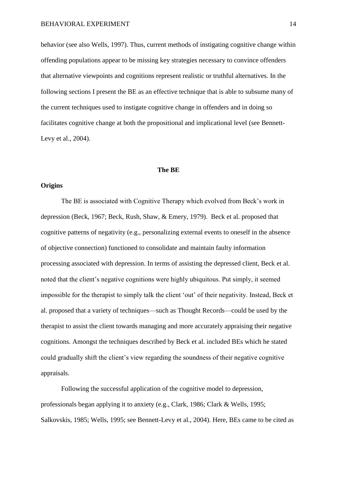behavior (see also Wells, 1997). Thus, current methods of instigating cognitive change within offending populations appear to be missing key strategies necessary to convince offenders that alternative viewpoints and cognitions represent realistic or truthful alternatives. In the following sections I present the BE as an effective technique that is able to subsume many of the current techniques used to instigate cognitive change in offenders and in doing so facilitates cognitive change at both the propositional and implicational level (see Bennett-Levy et al., 2004).

#### **The BE**

#### **Origins**

The BE is associated with Cognitive Therapy which evolved from Beck's work in depression (Beck, 1967; Beck, Rush, Shaw, & Emery, 1979). Beck et al. proposed that cognitive patterns of negativity (e.g., personalizing external events to oneself in the absence of objective connection) functioned to consolidate and maintain faulty information processing associated with depression. In terms of assisting the depressed client, Beck et al. noted that the client's negative cognitions were highly ubiquitous. Put simply, it seemed impossible for the therapist to simply talk the client 'out' of their negativity. Instead, Beck et al. proposed that a variety of techniques—such as Thought Records—could be used by the therapist to assist the client towards managing and more accurately appraising their negative cognitions. Amongst the techniques described by Beck et al. included BEs which he stated could gradually shift the client's view regarding the soundness of their negative cognitive appraisals.

Following the successful application of the cognitive model to depression, professionals began applying it to anxiety (e.g., Clark, 1986; Clark & Wells, 1995; Salkovskis, 1985; Wells, 1995; see Bennett-Levy et al., 2004). Here, BEs came to be cited as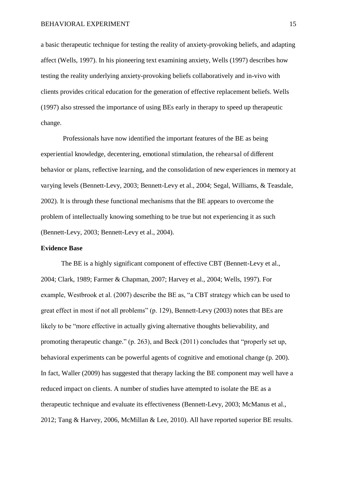a basic therapeutic technique for testing the reality of anxiety-provoking beliefs, and adapting affect (Wells, 1997). In his pioneering text examining anxiety, Wells (1997) describes how testing the reality underlying anxiety-provoking beliefs collaboratively and in-vivo with clients provides critical education for the generation of effective replacement beliefs. Wells (1997) also stressed the importance of using BEs early in therapy to speed up therapeutic change.

 Professionals have now identified the important features of the BE as being experiential knowledge, decentering, emotional stimulation, the rehearsal of different behavior or plans, reflective learning, and the consolidation of new experiences in memory at varying levels (Bennett-Levy, 2003; Bennett-Levy et al., 2004; Segal, Williams, & Teasdale, 2002). It is through these functional mechanisms that the BE appears to overcome the problem of intellectually knowing something to be true but not experiencing it as such (Bennett-Levy, 2003; Bennett-Levy et al., 2004).

#### **Evidence Base**

The BE is a highly significant component of effective CBT (Bennett-Levy et al., 2004; Clark, 1989; Farmer & Chapman, 2007; Harvey et al., 2004; Wells, 1997). For example, Westbrook et al. (2007) describe the BE as, "a CBT strategy which can be used to great effect in most if not all problems" (p. 129), Bennett-Levy (2003) notes that BEs are likely to be "more effective in actually giving alternative thoughts believability, and promoting therapeutic change." (p. 263), and Beck (2011) concludes that "properly set up, behavioral experiments can be powerful agents of cognitive and emotional change (p. 200). In fact, Waller (2009) has suggested that therapy lacking the BE component may well have a reduced impact on clients. A number of studies have attempted to isolate the BE as a therapeutic technique and evaluate its effectiveness (Bennett-Levy, 2003; McManus et al., 2012; Tang & Harvey, 2006, McMillan & Lee, 2010). All have reported superior BE results.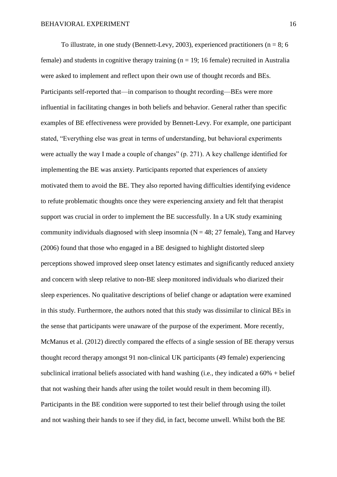To illustrate, in one study (Bennett-Levy, 2003), experienced practitioners ( $n = 8$ ; 6 female) and students in cognitive therapy training ( $n = 19$ ; 16 female) recruited in Australia were asked to implement and reflect upon their own use of thought records and BEs. Participants self-reported that—in comparison to thought recording—BEs were more influential in facilitating changes in both beliefs and behavior. General rather than specific examples of BE effectiveness were provided by Bennett-Levy. For example, one participant stated, "Everything else was great in terms of understanding, but behavioral experiments were actually the way I made a couple of changes" (p. 271). A key challenge identified for implementing the BE was anxiety. Participants reported that experiences of anxiety motivated them to avoid the BE. They also reported having difficulties identifying evidence to refute problematic thoughts once they were experiencing anxiety and felt that therapist support was crucial in order to implement the BE successfully. In a UK study examining community individuals diagnosed with sleep insomnia ( $N = 48$ ; 27 female), Tang and Harvey (2006) found that those who engaged in a BE designed to highlight distorted sleep perceptions showed improved sleep onset latency estimates and significantly reduced anxiety and concern with sleep relative to non-BE sleep monitored individuals who diarized their sleep experiences. No qualitative descriptions of belief change or adaptation were examined in this study. Furthermore, the authors noted that this study was dissimilar to clinical BEs in the sense that participants were unaware of the purpose of the experiment. More recently, McManus et al. (2012) directly compared the effects of a single session of BE therapy versus thought record therapy amongst 91 non-clinical UK participants (49 female) experiencing subclinical irrational beliefs associated with hand washing (i.e., they indicated a 60% + belief that not washing their hands after using the toilet would result in them becoming ill). Participants in the BE condition were supported to test their belief through using the toilet and not washing their hands to see if they did, in fact, become unwell. Whilst both the BE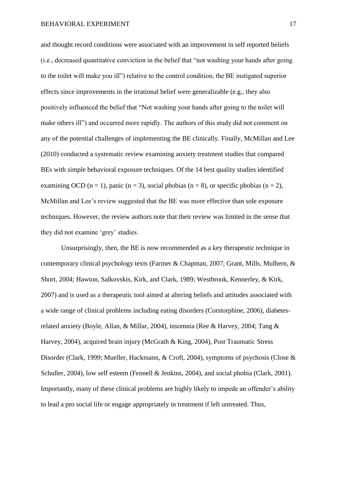and thought record conditions were associated with an improvement in self reported beliefs (i.e., decreased quantitative conviction in the belief that "not washing your hands after going to the toilet will make you ill") relative to the control condition, the BE instigated superior effects since improvements in the irrational belief were generalizable (e.g., they also positively influenced the belief that "Not washing your hands after going to the toilet will make others ill") and occurred more rapidly. The authors of this study did not comment on any of the potential challenges of implementing the BE clinically. Finally, McMillan and Lee (2010) conducted a systematic review examining anxiety treatment studies that compared BEs with simple behavioral exposure techniques. Of the 14 best quality studies identified examining OCD (n = 1), panic (n = 3), social phobias (n = 8), or specific phobias (n = 2), McMillan and Lee's review suggested that the BE was more effective than sole exposure techniques. However, the review authors note that their review was limited in the sense that they did not examine 'grey' studies.

Unsurprisingly, then, the BE is now recommended as a key therapeutic technique in contemporary clinical psychology texts (Farmer & Chapman, 2007; Grant, Mills, Mulhern, & Short, 2004; Hawton, Salkovskis, Kirk, and Clark, 1989; Westbrook, Kennerley, & Kirk, 2007) and is used as a therapeutic tool aimed at altering beliefs and attitudes associated with a wide range of clinical problems including eating disorders (Corstorphine, 2006), diabetesrelated anxiety (Boyle, Allan, & Millar, 2004), insomnia (Ree & Harvey, 2004; Tang & Harvey, 2004), acquired brain injury (McGrath & King, 2004), Post Traumatic Stress Disorder (Clark, 1999; Mueller, Hackmann, & Croft, 2004), symptoms of psychosis (Close & Schuller, 2004), low self esteem (Fennell & Jenkins, 2004), and social phobia (Clark, 2001). Importantly, many of these clinical problems are highly likely to impede an offender's ability to lead a pro social life or engage appropriately in treatment if left untreated. Thus,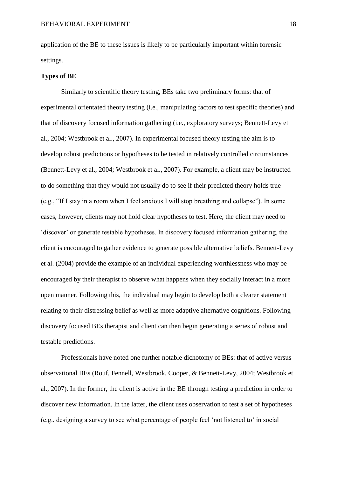application of the BE to these issues is likely to be particularly important within forensic settings.

#### **Types of BE**

Similarly to scientific theory testing, BEs take two preliminary forms: that of experimental orientated theory testing (i.e., manipulating factors to test specific theories) and that of discovery focused information gathering (i.e., exploratory surveys; Bennett-Levy et al., 2004; Westbrook et al., 2007). In experimental focused theory testing the aim is to develop robust predictions or hypotheses to be tested in relatively controlled circumstances (Bennett-Levy et al., 2004; Westbrook et al., 2007). For example, a client may be instructed to do something that they would not usually do to see if their predicted theory holds true (e.g., "If I stay in a room when I feel anxious I will stop breathing and collapse"). In some cases, however, clients may not hold clear hypotheses to test. Here, the client may need to 'discover' or generate testable hypotheses. In discovery focused information gathering, the client is encouraged to gather evidence to generate possible alternative beliefs. Bennett-Levy et al. (2004) provide the example of an individual experiencing worthlessness who may be encouraged by their therapist to observe what happens when they socially interact in a more open manner. Following this, the individual may begin to develop both a clearer statement relating to their distressing belief as well as more adaptive alternative cognitions. Following discovery focused BEs therapist and client can then begin generating a series of robust and testable predictions.

Professionals have noted one further notable dichotomy of BEs: that of active versus observational BEs (Rouf, Fennell, Westbrook, Cooper, & Bennett-Levy, 2004; Westbrook et al., 2007). In the former, the client is active in the BE through testing a prediction in order to discover new information. In the latter, the client uses observation to test a set of hypotheses (e.g., designing a survey to see what percentage of people feel 'not listened to' in social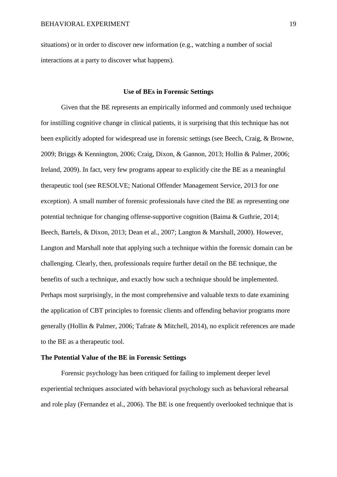situations) or in order to discover new information (e.g., watching a number of social interactions at a party to discover what happens).

#### **Use of BEs in Forensic Settings**

Given that the BE represents an empirically informed and commonly used technique for instilling cognitive change in clinical patients, it is surprising that this technique has not been explicitly adopted for widespread use in forensic settings (see Beech, Craig, & Browne, 2009; Briggs & Kennington, 2006; Craig, Dixon, & Gannon, 2013; Hollin & Palmer, 2006; Ireland, 2009). In fact, very few programs appear to explicitly cite the BE as a meaningful therapeutic tool (see RESOLVE; National Offender Management Service, 2013 for one exception). A small number of forensic professionals have cited the BE as representing one potential technique for changing offense-supportive cognition (Baima & Guthrie, 2014; Beech, Bartels, & Dixon, 2013; Dean et al., 2007; Langton & Marshall, 2000). However, Langton and Marshall note that applying such a technique within the forensic domain can be challenging. Clearly, then, professionals require further detail on the BE technique, the benefits of such a technique, and exactly how such a technique should be implemented. Perhaps most surprisingly, in the most comprehensive and valuable texts to date examining the application of CBT principles to forensic clients and offending behavior programs more generally (Hollin & Palmer, 2006; Tafrate & Mitchell, 2014), no explicit references are made to the BE as a therapeutic tool.

#### **The Potential Value of the BE in Forensic Settings**

Forensic psychology has been critiqued for failing to implement deeper level experiential techniques associated with behavioral psychology such as behavioral rehearsal and role play (Fernandez et al., 2006). The BE is one frequently overlooked technique that is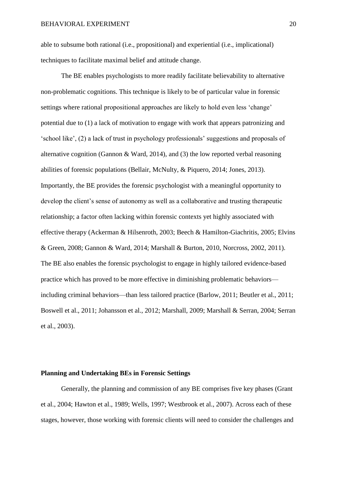able to subsume both rational (i.e., propositional) and experiential (i.e., implicational) techniques to facilitate maximal belief and attitude change.

 The BE enables psychologists to more readily facilitate believability to alternative non-problematic cognitions. This technique is likely to be of particular value in forensic settings where rational propositional approaches are likely to hold even less 'change' potential due to (1) a lack of motivation to engage with work that appears patronizing and 'school like', (2) a lack of trust in psychology professionals' suggestions and proposals of alternative cognition (Gannon & Ward, 2014), and (3) the low reported verbal reasoning abilities of forensic populations (Bellair, McNulty, & Piquero, 2014; Jones, 2013). Importantly, the BE provides the forensic psychologist with a meaningful opportunity to develop the client's sense of autonomy as well as a collaborative and trusting therapeutic relationship; a factor often lacking within forensic contexts yet highly associated with effective therapy (Ackerman & Hilsenroth, 2003; Beech & Hamilton-Giachritis, 2005; Elvins & Green, 2008; Gannon & Ward, 2014; Marshall & Burton, 2010, Norcross, 2002, 2011). The BE also enables the forensic psychologist to engage in highly tailored evidence-based practice which has proved to be more effective in diminishing problematic behaviors including criminal behaviors—than less tailored practice (Barlow, 2011; Beutler et al., 2011; Boswell et al., 2011; Johansson et al., 2012; Marshall, 2009; Marshall & Serran, 2004; Serran et al., 2003).

#### **Planning and Undertaking BEs in Forensic Settings**

 Generally, the planning and commission of any BE comprises five key phases (Grant et al., 2004; Hawton et al., 1989; Wells, 1997; Westbrook et al., 2007). Across each of these stages, however, those working with forensic clients will need to consider the challenges and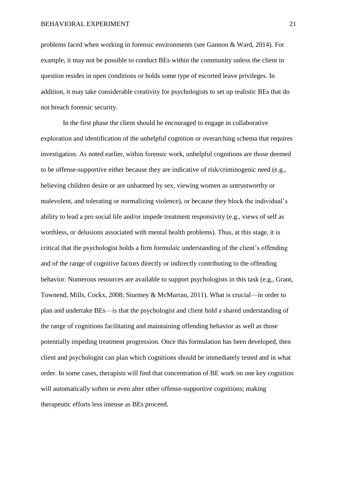problems faced when working in forensic environments (see Gannon & Ward, 2014). For example, it may not be possible to conduct BEs within the community unless the client in question resides in open conditions or holds some type of escorted leave privileges. In addition, it may take considerable creativity for psychologists to set up realistic BEs that do not breach forensic security.

 In the first phase the client should be encouraged to engage in collaborative exploration and identification of the unhelpful cognition or overarching schema that requires investigation. As noted earlier, within forensic work, unhelpful cognitions are those deemed to be offense-supportive either because they are indicative of risk/criminogenic need (e.g., believing children desire or are unharmed by sex, viewing women as untrustworthy or malevolent, and tolerating or normalizing violence), or because they block the individual's ability to lead a pro social life and/or impede treatment responsivity (e.g., views of self as worthless, or delusions associated with mental health problems). Thus, at this stage, it is critical that the psychologist holds a firm formulaic understanding of the client's offending and of the range of cognitive factors directly or indirectly contributing to the offending behavior. Numerous resources are available to support psychologists in this task (e.g., Grant, Townend, Mills, Cockx, 2008; Sturmey & McMurran, 2011). What is crucial—in order to plan and undertake BEs—is that the psychologist and client hold a shared understanding of the range of cognitions facilitating and maintaining offending behavior as well as those potentially impeding treatment progression. Once this formulation has been developed, then client and psychologist can plan which cognitions should be immediately tested and in what order. In some cases, therapists will find that concentration of BE work on one key cognition will automatically soften or even alter other offense-supportive cognitions; making therapeutic efforts less intense as BEs proceed.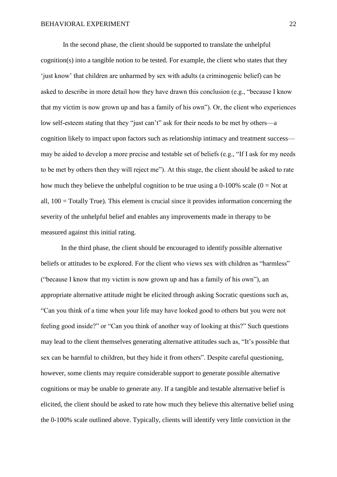In the second phase, the client should be supported to translate the unhelpful cognition(s) into a tangible notion to be tested. For example, the client who states that they 'just know' that children are unharmed by sex with adults (a criminogenic belief) can be asked to describe in more detail how they have drawn this conclusion (e.g., "because I know that my victim is now grown up and has a family of his own"). Or, the client who experiences low self-esteem stating that they "just can't" ask for their needs to be met by others—a cognition likely to impact upon factors such as relationship intimacy and treatment success may be aided to develop a more precise and testable set of beliefs (e.g., "If I ask for my needs to be met by others then they will reject me"). At this stage, the client should be asked to rate how much they believe the unhelpful cognition to be true using a 0-100% scale  $(0 = Not at$ all, 100 = Totally True). This element is crucial since it provides information concerning the severity of the unhelpful belief and enables any improvements made in therapy to be measured against this initial rating.

In the third phase, the client should be encouraged to identify possible alternative beliefs or attitudes to be explored. For the client who views sex with children as "harmless" ("because I know that my victim is now grown up and has a family of his own"), an appropriate alternative attitude might be elicited through asking Socratic questions such as, "Can you think of a time when your life may have looked good to others but you were not feeling good inside?" or "Can you think of another way of looking at this?" Such questions may lead to the client themselves generating alternative attitudes such as, "It's possible that sex can be harmful to children, but they hide it from others". Despite careful questioning, however, some clients may require considerable support to generate possible alternative cognitions or may be unable to generate any. If a tangible and testable alternative belief is elicited, the client should be asked to rate how much they believe this alternative belief using the 0-100% scale outlined above. Typically, clients will identify very little conviction in the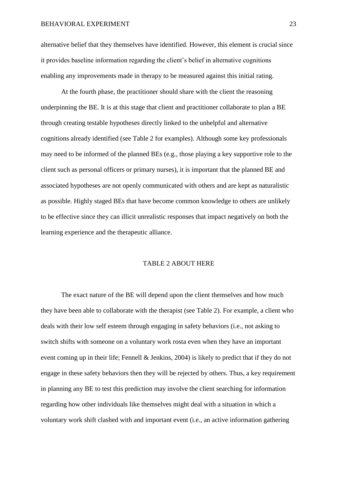alternative belief that they themselves have identified. However, this element is crucial since it provides baseline information regarding the client's belief in alternative cognitions enabling any improvements made in therapy to be measured against this initial rating.

At the fourth phase, the practitioner should share with the client the reasoning underpinning the BE. It is at this stage that client and practitioner collaborate to plan a BE through creating testable hypotheses directly linked to the unhelpful and alternative cognitions already identified (see Table 2 for examples). Although some key professionals may need to be informed of the planned BEs (e.g., those playing a key supportive role to the client such as personal officers or primary nurses), it is important that the planned BE and associated hypotheses are not openly communicated with others and are kept as naturalistic as possible. Highly staged BEs that have become common knowledge to others are unlikely to be effective since they can illicit unrealistic responses that impact negatively on both the learning experience and the therapeutic alliance.

#### TABLE 2 ABOUT HERE

The exact nature of the BE will depend upon the client themselves and how much they have been able to collaborate with the therapist (see Table 2). For example, a client who deals with their low self esteem through engaging in safety behaviors (i.e., not asking to switch shifts with someone on a voluntary work rosta even when they have an important event coming up in their life; Fennell & Jenkins, 2004) is likely to predict that if they do not engage in these safety behaviors then they will be rejected by others. Thus, a key requirement in planning any BE to test this prediction may involve the client searching for information regarding how other individuals like themselves might deal with a situation in which a voluntary work shift clashed with and important event (i.e., an active information gathering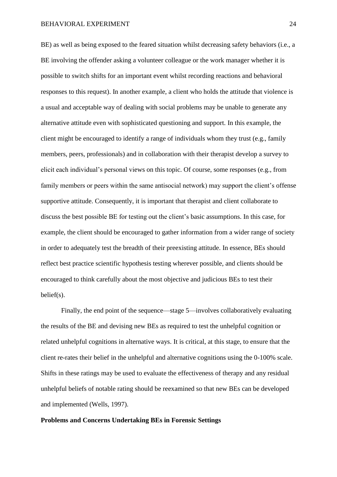#### BEHAVIORAL EXPERIMENT 24

BE) as well as being exposed to the feared situation whilst decreasing safety behaviors (i.e., a BE involving the offender asking a volunteer colleague or the work manager whether it is possible to switch shifts for an important event whilst recording reactions and behavioral responses to this request). In another example, a client who holds the attitude that violence is a usual and acceptable way of dealing with social problems may be unable to generate any alternative attitude even with sophisticated questioning and support. In this example, the client might be encouraged to identify a range of individuals whom they trust (e.g., family members, peers, professionals) and in collaboration with their therapist develop a survey to elicit each individual's personal views on this topic. Of course, some responses (e.g., from family members or peers within the same antisocial network) may support the client's offense supportive attitude. Consequently, it is important that therapist and client collaborate to discuss the best possible BE for testing out the client's basic assumptions. In this case, for example, the client should be encouraged to gather information from a wider range of society in order to adequately test the breadth of their preexisting attitude. In essence, BEs should reflect best practice scientific hypothesis testing wherever possible, and clients should be encouraged to think carefully about the most objective and judicious BEs to test their belief(s).

Finally, the end point of the sequence—stage 5—involves collaboratively evaluating the results of the BE and devising new BEs as required to test the unhelpful cognition or related unhelpful cognitions in alternative ways. It is critical, at this stage, to ensure that the client re-rates their belief in the unhelpful and alternative cognitions using the 0-100% scale. Shifts in these ratings may be used to evaluate the effectiveness of therapy and any residual unhelpful beliefs of notable rating should be reexamined so that new BEs can be developed and implemented (Wells, 1997).

#### **Problems and Concerns Undertaking BEs in Forensic Settings**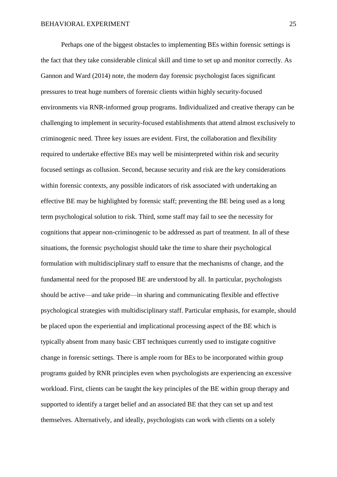Perhaps one of the biggest obstacles to implementing BEs within forensic settings is the fact that they take considerable clinical skill and time to set up and monitor correctly. As Gannon and Ward (2014) note, the modern day forensic psychologist faces significant pressures to treat huge numbers of forensic clients within highly security-focused environments via RNR-informed group programs. Individualized and creative therapy can be challenging to implement in security-focused establishments that attend almost exclusively to criminogenic need. Three key issues are evident. First, the collaboration and flexibility required to undertake effective BEs may well be misinterpreted within risk and security focused settings as collusion. Second, because security and risk are the key considerations within forensic contexts, any possible indicators of risk associated with undertaking an effective BE may be highlighted by forensic staff; preventing the BE being used as a long term psychological solution to risk. Third, some staff may fail to see the necessity for cognitions that appear non-criminogenic to be addressed as part of treatment. In all of these situations, the forensic psychologist should take the time to share their psychological formulation with multidisciplinary staff to ensure that the mechanisms of change, and the fundamental need for the proposed BE are understood by all. In particular, psychologists should be active—and take pride—in sharing and communicating flexible and effective psychological strategies with multidisciplinary staff. Particular emphasis, for example, should be placed upon the experiential and implicational processing aspect of the BE which is typically absent from many basic CBT techniques currently used to instigate cognitive change in forensic settings. There is ample room for BEs to be incorporated within group programs guided by RNR principles even when psychologists are experiencing an excessive workload. First, clients can be taught the key principles of the BE within group therapy and supported to identify a target belief and an associated BE that they can set up and test themselves. Alternatively, and ideally, psychologists can work with clients on a solely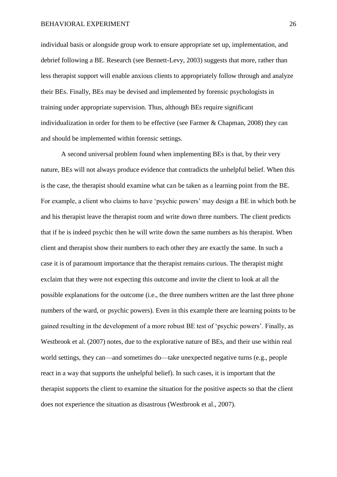individual basis or alongside group work to ensure appropriate set up, implementation, and debrief following a BE. Research (see Bennett-Levy, 2003) suggests that more, rather than less therapist support will enable anxious clients to appropriately follow through and analyze their BEs. Finally, BEs may be devised and implemented by forensic psychologists in training under appropriate supervision. Thus, although BEs require significant individualization in order for them to be effective (see Farmer & Chapman, 2008) they can and should be implemented within forensic settings.

 A second universal problem found when implementing BEs is that, by their very nature, BEs will not always produce evidence that contradicts the unhelpful belief. When this is the case, the therapist should examine what can be taken as a learning point from the BE. For example, a client who claims to have 'psychic powers' may design a BE in which both he and his therapist leave the therapist room and write down three numbers. The client predicts that if he is indeed psychic then he will write down the same numbers as his therapist. When client and therapist show their numbers to each other they are exactly the same. In such a case it is of paramount importance that the therapist remains curious. The therapist might exclaim that they were not expecting this outcome and invite the client to look at all the possible explanations for the outcome (i.e., the three numbers written are the last three phone numbers of the ward, or psychic powers). Even in this example there are learning points to be gained resulting in the development of a more robust BE test of 'psychic powers'. Finally, as Westbrook et al. (2007) notes, due to the explorative nature of BEs, and their use within real world settings, they can—and sometimes do—take unexpected negative turns (e.g., people react in a way that supports the unhelpful belief). In such cases, it is important that the therapist supports the client to examine the situation for the positive aspects so that the client does not experience the situation as disastrous (Westbrook et al., 2007).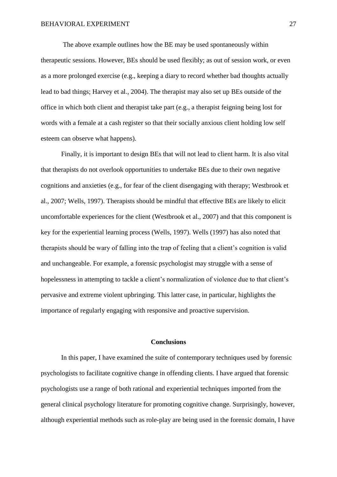The above example outlines how the BE may be used spontaneously within therapeutic sessions. However, BEs should be used flexibly; as out of session work, or even as a more prolonged exercise (e.g., keeping a diary to record whether bad thoughts actually lead to bad things; Harvey et al., 2004). The therapist may also set up BEs outside of the office in which both client and therapist take part (e.g., a therapist feigning being lost for words with a female at a cash register so that their socially anxious client holding low self esteem can observe what happens).

 Finally, it is important to design BEs that will not lead to client harm. It is also vital that therapists do not overlook opportunities to undertake BEs due to their own negative cognitions and anxieties (e.g., for fear of the client disengaging with therapy; Westbrook et al., 2007; Wells, 1997). Therapists should be mindful that effective BEs are likely to elicit uncomfortable experiences for the client (Westbrook et al., 2007) and that this component is key for the experiential learning process (Wells, 1997). Wells (1997) has also noted that therapists should be wary of falling into the trap of feeling that a client's cognition is valid and unchangeable. For example, a forensic psychologist may struggle with a sense of hopelessness in attempting to tackle a client's normalization of violence due to that client's pervasive and extreme violent upbringing. This latter case, in particular, highlights the importance of regularly engaging with responsive and proactive supervision.

#### **Conclusions**

In this paper, I have examined the suite of contemporary techniques used by forensic psychologists to facilitate cognitive change in offending clients. I have argued that forensic psychologists use a range of both rational and experiential techniques imported from the general clinical psychology literature for promoting cognitive change. Surprisingly, however, although experiential methods such as role-play are being used in the forensic domain, I have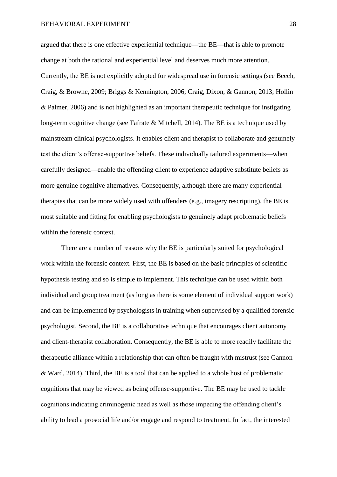argued that there is one effective experiential technique—the BE—that is able to promote change at both the rational and experiential level and deserves much more attention. Currently, the BE is not explicitly adopted for widespread use in forensic settings (see Beech, Craig, & Browne, 2009; Briggs & Kennington, 2006; Craig, Dixon, & Gannon, 2013; Hollin & Palmer, 2006) and is not highlighted as an important therapeutic technique for instigating long-term cognitive change (see Tafrate & Mitchell, 2014). The BE is a technique used by mainstream clinical psychologists. It enables client and therapist to collaborate and genuinely test the client's offense-supportive beliefs. These individually tailored experiments—when carefully designed—enable the offending client to experience adaptive substitute beliefs as more genuine cognitive alternatives. Consequently, although there are many experiential therapies that can be more widely used with offenders (e.g., imagery rescripting), the BE is most suitable and fitting for enabling psychologists to genuinely adapt problematic beliefs within the forensic context.

There are a number of reasons why the BE is particularly suited for psychological work within the forensic context. First, the BE is based on the basic principles of scientific hypothesis testing and so is simple to implement. This technique can be used within both individual and group treatment (as long as there is some element of individual support work) and can be implemented by psychologists in training when supervised by a qualified forensic psychologist. Second, the BE is a collaborative technique that encourages client autonomy and client-therapist collaboration. Consequently, the BE is able to more readily facilitate the therapeutic alliance within a relationship that can often be fraught with mistrust (see Gannon & Ward, 2014). Third, the BE is a tool that can be applied to a whole host of problematic cognitions that may be viewed as being offense-supportive. The BE may be used to tackle cognitions indicating criminogenic need as well as those impeding the offending client's ability to lead a prosocial life and/or engage and respond to treatment. In fact, the interested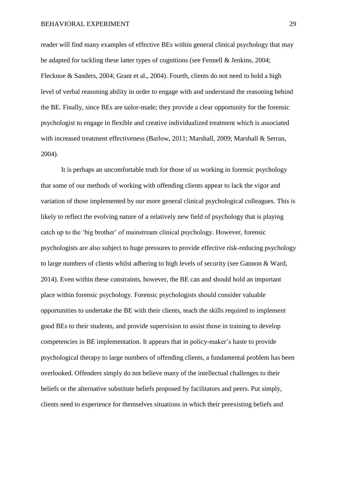reader will find many examples of effective BEs within general clinical psychology that may be adapted for tackling these latter types of cognitions (see Fennell & Jenkins, 2004; Flecknoe & Sanders, 2004; Grant et al., 2004). Fourth, clients do not need to hold a high level of verbal reasoning ability in order to engage with and understand the reasoning behind the BE. Finally, since BEs are tailor-made; they provide a clear opportunity for the forensic psychologist to engage in flexible and creative individualized treatment which is associated with increased treatment effectiveness (Barlow, 2011; Marshall, 2009; Marshall & Serran, 2004).

It is perhaps an uncomfortable truth for those of us working in forensic psychology that some of our methods of working with offending clients appear to lack the vigor and variation of those implemented by our more general clinical psychological colleagues. This is likely to reflect the evolving nature of a relatively new field of psychology that is playing catch up to the 'big brother' of mainstream clinical psychology. However, forensic psychologists are also subject to huge pressures to provide effective risk-reducing psychology to large numbers of clients whilst adhering to high levels of security (see Gannon & Ward, 2014). Even within these constraints, however, the BE can and should hold an important place within forensic psychology. Forensic psychologists should consider valuable opportunities to undertake the BE with their clients, teach the skills required to implement good BEs to their students, and provide supervision to assist those in training to develop competencies in BE implementation. It appears that in policy-maker's haste to provide psychological therapy to large numbers of offending clients, a fundamental problem has been overlooked. Offenders simply do not believe many of the intellectual challenges to their beliefs or the alternative substitute beliefs proposed by facilitators and peers. Put simply, clients need to experience for themselves situations in which their preexisting beliefs and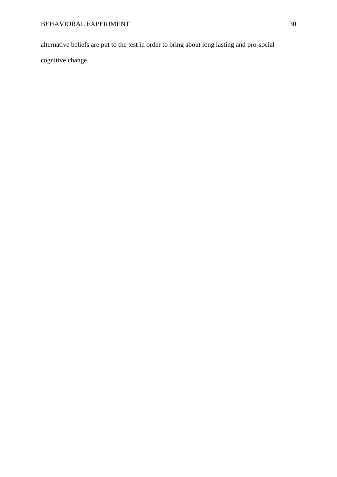alternative beliefs are put to the test in order to bring about long lasting and pro-social cognitive change.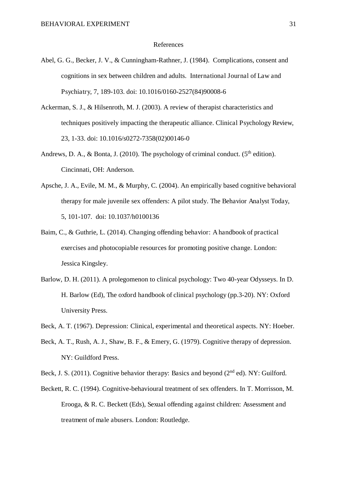#### References

- Abel, G. G., Becker, J. V., & Cunningham-Rathner, J. (1984). Complications, consent and cognitions in sex between children and adults. International Journal of Law and Psychiatry, 7, 189-103. doi: 10.1016/0160-2527(84)90008-6
- Ackerman, S. J., & Hilsenroth, M. J. (2003). A review of therapist characteristics and techniques positively impacting the therapeutic alliance. Clinical Psychology Review, 23, 1-33. doi: 10.1016/s0272-7358(02)00146-0
- Andrews, D. A., & Bonta, J. (2010). The psychology of criminal conduct. ( $5<sup>th</sup>$  edition). Cincinnati, OH: Anderson.
- Apsche, J. A., Evile, M. M., & Murphy, C. (2004). An empirically based cognitive behavioral therapy for male juvenile sex offenders: A pilot study. The Behavior Analyst Today, 5, 101-107. doi: 10.1037/h0100136
- Baim, C., & Guthrie, L. (2014). Changing offending behavior: A handbook of practical exercises and photocopiable resources for promoting positive change. London: Jessica Kingsley.
- Barlow, D. H. (2011). A prolegomenon to clinical psychology: Two 40-year Odysseys. In D. H. Barlow (Ed), The oxford handbook of clinical psychology (pp.3-20). NY: Oxford University Press.
- Beck, A. T. (1967). Depression: Clinical, experimental and theoretical aspects. NY: Hoeber.
- Beck, A. T., Rush, A. J., Shaw, B. F., & Emery, G. (1979). Cognitive therapy of depression. NY: Guildford Press.
- Beck, J. S. (2011). Cognitive behavior therapy: Basics and beyond ( $2<sup>nd</sup>$  ed). NY: Guilford.
- Beckett, R. C. (1994). Cognitive-behavioural treatment of sex offenders. In T. Morrisson, M. Erooga, & R. C. Beckett (Eds), Sexual offending against children: Assessment and treatment of male abusers. London: Routledge.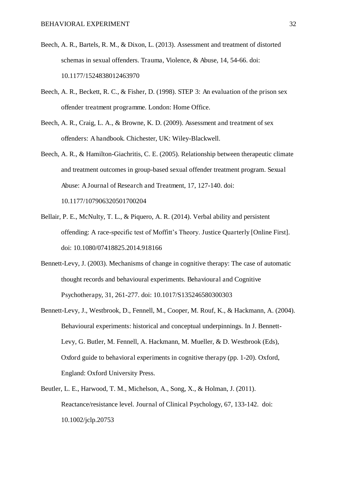- Beech, A. R., Bartels, R. M., & Dixon, L. (2013). Assessment and treatment of distorted schemas in sexual offenders. Trauma, Violence, & Abuse, 14, 54-66. doi: 10.1177/1524838012463970
- Beech, A. R., Beckett, R. C., & Fisher, D. (1998). STEP 3: An evaluation of the prison sex offender treatment programme. London: Home Office.
- Beech, A. R., Craig, L. A., & Browne, K. D. (2009). Assessment and treatment of sex offenders: A handbook. Chichester, UK: Wiley-Blackwell.
- Beech, A. R., & Hamilton-Giachritis, C. E. (2005). Relationship between therapeutic climate and treatment outcomes in group-based sexual offender treatment program. Sexual Abuse: A Journal of Research and Treatment, 17, 127-140. doi: 10.1177/107906320501700204
- Bellair, P. E., McNulty, T. L., & Piquero, A. R. (2014). Verbal ability and persistent offending: A race-specific test of Moffitt's Theory. Justice Quarterly [Online First]. doi: 10.1080/07418825.2014.918166
- Bennett-Levy, J. (2003). Mechanisms of change in cognitive therapy: The case of automatic thought records and behavioural experiments. Behavioural and Cognitive Psychotherapy, 31, 261-277. doi: 10.1017/S135246580300303
- Bennett-Levy, J., Westbrook, D., Fennell, M., Cooper, M. Rouf, K., & Hackmann, A. (2004). Behavioural experiments: historical and conceptual underpinnings. In J. Bennett-Levy, G. Butler, M. Fennell, A. Hackmann, M. Mueller, & D. Westbrook (Eds), Oxford guide to behavioral experiments in cognitive therapy (pp. 1-20). Oxford, England: Oxford University Press.
- Beutler, L. E., Harwood, T. M., Michelson, A., Song, X., & Holman, J. (2011). Reactance/resistance level. Journal of Clinical Psychology, 67, 133-142. doi: 10.1002/jclp.20753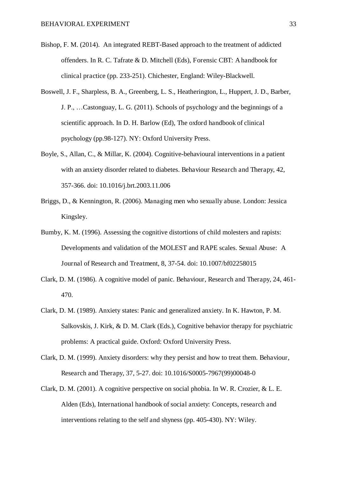- Bishop, F. M. (2014). An integrated REBT-Based approach to the treatment of addicted offenders. In R. C. Tafrate & D. Mitchell (Eds), Forensic CBT: A handbook for clinical practice (pp. 233-251). Chichester, England: Wiley-Blackwell.
- Boswell, J. F., Sharpless, B. A., Greenberg, L. S., Heatherington, L., Huppert, J. D., Barber, J. P., …Castonguay, L. G. (2011). Schools of psychology and the beginnings of a scientific approach. In D. H. Barlow (Ed), The oxford handbook of clinical psychology (pp.98-127). NY: Oxford University Press.
- Boyle, S., Allan, C., & Millar, K. (2004). Cognitive-behavioural interventions in a patient with an anxiety disorder related to diabetes. Behaviour Research and Therapy, 42, 357-366. doi: 10.1016/j.brt.2003.11.006
- Briggs, D., & Kennington, R. (2006). Managing men who sexually abuse. London: Jessica Kingsley.
- Bumby, K. M. (1996). Assessing the cognitive distortions of child molesters and rapists: Developments and validation of the MOLEST and RAPE scales. Sexual Abuse: A Journal of Research and Treatment, 8, 37-54. doi: 10.1007/bf02258015
- Clark, D. M. (1986). A cognitive model of panic. Behaviour, Research and Therapy, 24, 461- 470.
- Clark, D. M. (1989). Anxiety states: Panic and generalized anxiety. In K. Hawton, P. M. Salkovskis, J. Kirk, & D. M. Clark (Eds.), Cognitive behavior therapy for psychiatric problems: A practical guide. Oxford: Oxford University Press.
- Clark, D. M. (1999). Anxiety disorders: why they persist and how to treat them. Behaviour, Research and Therapy, 37, 5-27. doi: 10.1016/S0005-7967(99)00048-0
- Clark, D. M. (2001). A cognitive perspective on social phobia. In W. R. Crozier, & L. E. Alden (Eds), International handbook of social anxiety: Concepts, research and interventions relating to the self and shyness (pp. 405-430). NY: Wiley.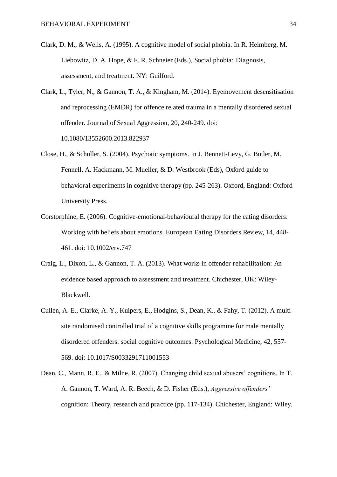- Clark, D. M., & Wells, A. (1995). A cognitive model of social phobia. In R. Heimberg, M. Liebowitz, D. A. Hope, & F. R. Schneier (Eds.), Social phobia: Diagnosis, assessment, and treatment. NY: Guilford.
- Clark, L., Tyler, N., & Gannon, T. A., & Kingham, M. (2014). Eyemovement desensitisation and reprocessing (EMDR) for offence related trauma in a mentally disordered sexual offender. Journal of Sexual Aggression, 20, 240-249. doi: 10.1080/13552600.2013.822937
- Close, H., & Schuller, S. (2004). Psychotic symptoms. In J. Bennett-Levy, G. Butler, M. Fennell, A. Hackmann, M. Mueller, & D. Westbrook (Eds), Oxford guide to behavioral experiments in cognitive therapy (pp. 245-263). Oxford, England: Oxford University Press.
- Corstorphine, E. (2006). Cognitive-emotional-behavioural therapy for the eating disorders: Working with beliefs about emotions. European Eating Disorders Review, 14, 448- 461. doi: 10.1002/erv.747
- Craig, L., Dixon, L., & Gannon, T. A. (2013). What works in offender rehabilitation: An evidence based approach to assessment and treatment. Chichester, UK: Wiley-Blackwell.
- Cullen, A. E., Clarke, A. Y., Kuipers, E., Hodgins, S., Dean, K., & Fahy, T. (2012). A multisite randomised controlled trial of a cognitive skills programme for male mentally disordered offenders: social cognitive outcomes. Psychological Medicine, 42, 557- 569. doi: 10.1017/S0033291711001553
- Dean, C., Mann, R. E., & Milne, R. (2007). Changing child sexual abusers' cognitions. In T. A. Gannon, T. Ward, A. R. Beech, & D. Fisher (Eds.), *Aggressive offenders'*  cognition: Theory, research and practice (pp. 117-134). Chichester, England: Wiley.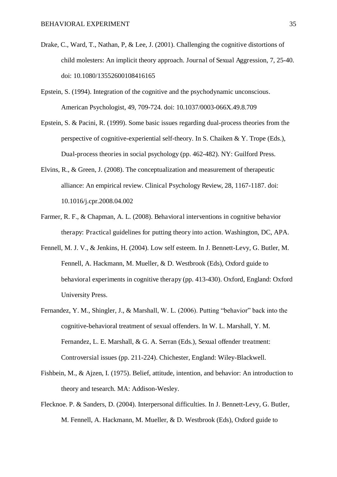- Drake, C., Ward, T., Nathan, P, & Lee, J. (2001). Challenging the cognitive distortions of child molesters: An implicit theory approach. Journal of Sexual Aggression, 7, 25-40. doi: 10.1080/13552600108416165
- Epstein, S. (1994). Integration of the cognitive and the psychodynamic unconscious. American Psychologist, 49, 709-724. doi: 10.1037/0003-066X.49.8.709
- Epstein, S. & Pacini, R. (1999). Some basic issues regarding dual-process theories from the perspective of cognitive-experiential self-theory. In S. Chaiken & Y. Trope (Eds.), Dual-process theories in social psychology (pp. 462-482). NY: Guilford Press.
- Elvins, R., & Green, J. (2008). The conceptualization and measurement of therapeutic alliance: An empirical review. Clinical Psychology Review, 28, 1167-1187. doi: 10.1016/j.cpr.2008.04.002
- Farmer, R. F., & Chapman, A. L. (2008). Behavioral interventions in cognitive behavior therapy: Practical guidelines for putting theory into action. Washington, DC, APA.
- Fennell, M. J. V., & Jenkins, H. (2004). Low self esteem. In J. Bennett-Levy, G. Butler, M. Fennell, A. Hackmann, M. Mueller, & D. Westbrook (Eds), Oxford guide to behavioral experiments in cognitive therapy (pp. 413-430). Oxford, England: Oxford University Press.
- Fernandez, Y. M., Shingler, J., & Marshall, W. L. (2006). Putting "behavior" back into the cognitive-behavioral treatment of sexual offenders. In W. L. Marshall, Y. M. Fernandez, L. E. Marshall, & G. A. Serran (Eds.), Sexual offender treatment: Controversial issues (pp. 211-224). Chichester, England: Wiley-Blackwell.
- Fishbein, M., & Ajzen, I. (1975). Belief, attitude, intention, and behavior: An introduction to theory and tesearch. MA: Addison-Wesley.
- Flecknoe. P. & Sanders, D. (2004). Interpersonal difficulties. In J. Bennett-Levy, G. Butler, M. Fennell, A. Hackmann, M. Mueller, & D. Westbrook (Eds), Oxford guide to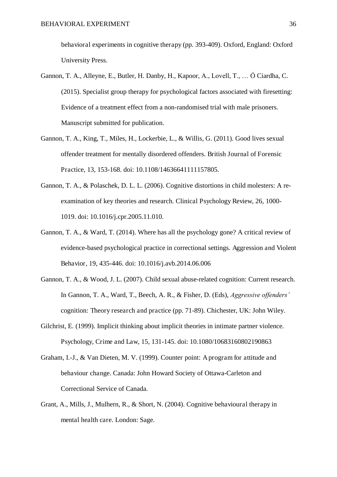behavioral experiments in cognitive therapy (pp. 393-409). Oxford, England: Oxford University Press.

- Gannon, T. A., Alleyne, E., Butler, H. Danby, H., Kapoor, A., Lovell, T., … Ó Ciardha, C. (2015). Specialist group therapy for psychological factors associated with firesetting: Evidence of a treatment effect from a non-randomised trial with male prisoners. Manuscript submitted for publication.
- Gannon, T. A., King, T., Miles, H., Lockerbie, L., & Willis, G. (2011). Good lives sexual offender treatment for mentally disordered offenders. British Journal of Forensic Practice, 13, 153-168. doi: 10.1108/14636641111157805.
- Gannon, T. A., & Polaschek, D. L. L. (2006). Cognitive distortions in child molesters: A reexamination of key theories and research. Clinical Psychology Review, 26, 1000- 1019. doi: 10.1016/j.cpr.2005.11.010.
- Gannon, T. A., & Ward, T. (2014). Where has all the psychology gone? A critical review of evidence-based psychological practice in correctional settings. Aggression and Violent Behavior, 19, 435-446. doi: 10.1016/j.avb.2014.06.006
- Gannon, T. A., & Wood, J. L. (2007). Child sexual abuse-related cognition: Current research. In Gannon, T. A., Ward, T., Beech, A. R., & Fisher, D. (Eds), *Aggressive offenders'*  cognition: Theory research and practice (pp. 71-89). Chichester, UK: John Wiley.
- Gilchrist, E. (1999). Implicit thinking about implicit theories in intimate partner violence. Psychology, Crime and Law, 15, 131-145. doi: 10.1080/10683160802190863
- Graham, I.-J., & Van Dieten, M. V. (1999). Counter point: A program for attitude and behaviour change. Canada: John Howard Society of Ottawa-Carleton and Correctional Service of Canada.
- Grant, A., Mills, J., Mulhern, R., & Short, N. (2004). Cognitive behavioural therapy in mental health care. London: Sage.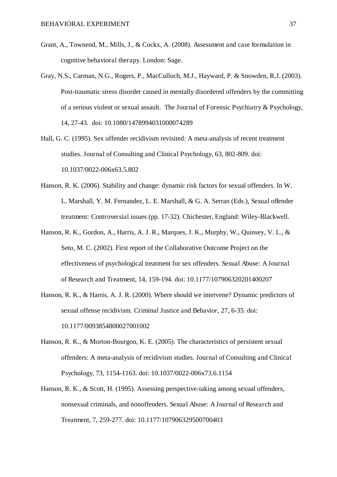- Grant, A., Townend, M., Mills, J., & Cockx, A. (2008). Assessment and case formulation in cognitive behavioral therapy. London: Sage.
- Gray, N.S., Carman, N.G., Rogers, P., MacCulloch, M.J., Hayward, P. & Snowden, R.J. (2003). Post-traumatic stress disorder caused in mentally disordered offenders by the committing of a serious violent or sexual assault. The Journal of Forensic Psychiatry & Psychology, 14, 27-43. doi: 10.1080/1478994031000074289
- Hall, G. C. (1995). Sex offender recidivism revisited: A meta-analysis of recent treatment studies. Journal of Consulting and Clinical Psychology, 63, 802-809. doi: 10.1037/0022-006x63.5.802
- Hanson, R. K. (2006). Stability and change: dynamic risk factors for sexual offenders. In W. L. Marshall, Y. M. Fernandez, L. E. Marshall, & G. A. Serran (Eds.), Sexual offender treatment: Controversial issues (pp. 17-32). Chichester, England: Wiley-Blackwell.
- Hanson, R. K., Gordon, A., Harris, A. J. R., Marques, J. K., Murphy, W., Quinsey, V. L., & Seto, M. C. (2002). First report of the Collaborative Outcome Project on the effectiveness of psychological treatment for sex offenders. Sexual Abuse: A Journal of Research and Treatment, 14, 159-194. doi: 10.1177/107906320201400207
- Hanson, R. K., & Harris, A. J. R. (2000). Where should we intervene? Dynamic predictors of sexual offense recidivism. Criminal Justice and Behavior, 27, 6-35. doi: 10.1177/0093854800027001002
- Hanson, R. K., & Morton-Bourgon, K. E. (2005). The characteristics of persistent sexual offenders: A meta-analysis of recidivism studies. Journal of Consulting and Clinical Psychology, 73, 1154-1163. doi: 10.1037/0022-006x73.6.1154
- Hanson, R. K., & Scott, H. (1995). Assessing perspective-taking among sexual offenders, nonsexual criminals, and nonoffenders. Sexual Abuse: A Journal of Research and Treatment, 7, 259-277. doi: 10.1177/107906329500700403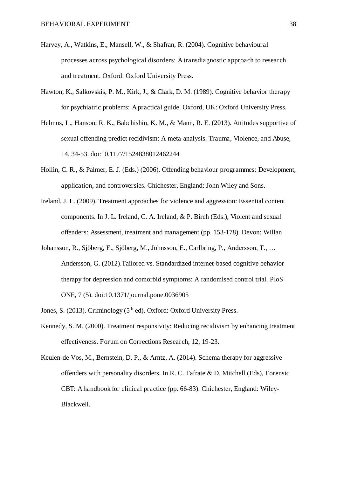- Harvey, A., Watkins, E., Mansell, W., & Shafran, R. (2004). Cognitive behavioural processes across psychological disorders: A transdiagnostic approach to research and treatment. Oxford: Oxford University Press.
- Hawton, K., Salkovskis, P. M., Kirk, J., & Clark, D. M. (1989). Cognitive behavior therapy for psychiatric problems: A practical guide. Oxford, UK: Oxford University Press.
- Helmus, L., Hanson, R. K., Babchishin, K. M., & Mann, R. E. (2013). Attitudes supportive of sexual offending predict recidivism: A meta-analysis. Trauma, Violence, and Abuse, 14, 34-53. doi:10.1177/1524838012462244
- Hollin, C. R., & Palmer, E. J. (Eds.) (2006). Offending behaviour programmes: Development, application, and controversies. Chichester, England: John Wiley and Sons.
- Ireland, J. L. (2009). Treatment approaches for violence and aggression: Essential content components. In J. L. Ireland, C. A. Ireland, & P. Birch (Eds.), Violent and sexual offenders: Assessment, treatment and management (pp. 153-178). Devon: Willan
- Johansson, R., Sjöberg, E., Sjöberg, M., Johnsson, E., Carlbring, P., Andersson, T., … Andersson, G. (2012).Tailored vs. Standardized internet-based cognitive behavior therapy for depression and comorbid symptoms: A randomised control trial. PloS ONE, 7 (5). doi:10.1371/journal.pone.0036905
- Jones, S. (2013). Criminology ( $5<sup>th</sup>$  ed). Oxford: Oxford University Press.
- Kennedy, S. M. (2000). Treatment responsivity: Reducing recidivism by enhancing treatment effectiveness. Forum on Corrections Research, 12, 19-23.
- Keulen-de Vos, M., Bernstein, D. P., & Arntz, A. (2014). Schema therapy for aggressive offenders with personality disorders. In R. C. Tafrate & D. Mitchell (Eds), Forensic CBT: A handbook for clinical practice (pp. 66-83). Chichester, England: Wiley-Blackwell.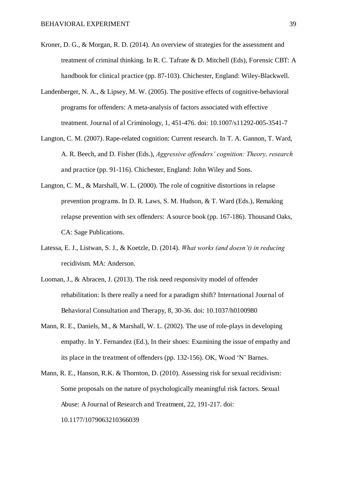- Kroner, D. G., & Morgan, R. D. (2014). An overview of strategies for the assessment and treatment of criminal thinking. In R. C. Tafrate & D. Mitchell (Eds), Forensic CBT: A handbook for clinical practice (pp. 87-103). Chichester, England: Wiley-Blackwell.
- Landenberger, N. A., & Lipsey, M. W. (2005). The positive effects of cognitive-behavioral programs for offenders: A meta-analysis of factors associated with effective treatment. Journal of al Criminology, 1, 451-476. doi: 10.1007/s11292-005-3541-7
- Langton, C. M. (2007). Rape-related cognition: Current research. In T. A. Gannon, T. Ward, A. R. Beech, and D. Fisher (Eds.), *Aggressive offenders' cognition: Theory, research*  and practice (pp. 91-116). Chichester, England: John Wiley and Sons.
- Langton, C. M., & Marshall, W. L. (2000). The role of cognitive distortions in relapse prevention programs. In D. R. Laws, S. M. Hudson, & T. Ward (Eds.), Remaking relapse prevention with sex offenders: A source book (pp. 167-186). Thousand Oaks, CA: Sage Publications.
- Latessa, E. J., Listwan, S. J., & Koetzle, D. (2014). *What works (and doesn't) in reducing*  recidivism. MA: Anderson.
- Looman, J., & Abracen, J. (2013). The risk need responsivity model of offender rehabilitation: Is there really a need for a paradigm shift? International Journal of Behavioral Consultation and Therapy, 8, 30-36. doi: 10.1037/h0100980
- Mann, R. E., Daniels, M., & Marshall, W. L. (2002). The use of role-plays in developing empathy. In Y. Fernandez (Ed.), In their shoes: Examining the issue of empathy and its place in the treatment of offenders (pp. 132-156). OK, Wood 'N' Barnes.
- Mann, R. E., Hanson, R.K. & Thornton, D. (2010). Assessing risk for sexual recidivism: Some proposals on the nature of psychologically meaningful risk factors. Sexual Abuse: A Journal of Research and Treatment, 22, 191-217. doi: 10.1177/1079063210366039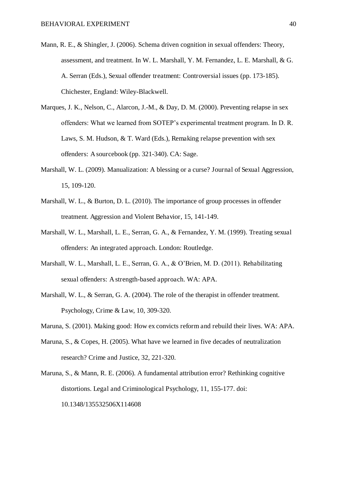- Mann, R. E., & Shingler, J. (2006). Schema driven cognition in sexual offenders: Theory, assessment, and treatment. In W. L. Marshall, Y. M. Fernandez, L. E. Marshall, & G. A. Serran (Eds.), Sexual offender treatment: Controversial issues (pp. 173-185). Chichester, England: Wiley-Blackwell.
- Marques, J. K., Nelson, C., Alarcon, J.-M., & Day, D. M. (2000). Preventing relapse in sex offenders: What we learned from SOTEP's experimental treatment program. In D. R. Laws, S. M. Hudson, & T. Ward (Eds.), Remaking relapse prevention with sex offenders: A sourcebook (pp. 321-340). CA: Sage.
- Marshall, W. L. (2009). Manualization: A blessing or a curse? Journal of Sexual Aggression, 15, 109-120.
- Marshall, W. L., & Burton, D. L. (2010). The importance of group processes in offender treatment. Aggression and Violent Behavior, 15, 141-149.
- Marshall, W. L., Marshall, L. E., Serran, G. A., & Fernandez, Y. M. (1999). Treating sexual offenders: An integrated approach. London: Routledge.
- Marshall, W. L., Marshall, L. E., Serran, G. A., & O'Brien, M. D. (2011). Rehabilitating sexual offenders: A strength-based approach. WA: APA.
- Marshall, W. L., & Serran, G. A. (2004). The role of the therapist in offender treatment. Psychology, Crime & Law, 10, 309-320.
- Maruna, S. (2001). Making good: How ex convicts reform and rebuild their lives. WA: APA.
- Maruna, S., & Copes, H. (2005). What have we learned in five decades of neutralization research? Crime and Justice, 32, 221-320.
- Maruna, S., & Mann, R. E. (2006). A fundamental attribution error? Rethinking cognitive distortions. Legal and Criminological Psychology, 11, 155-177. doi: 10.1348/135532506X114608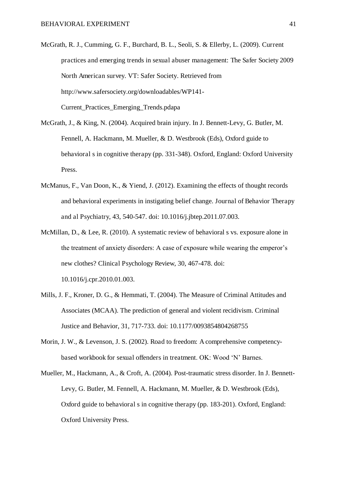- McGrath, R. J., Cumming, G. F., Burchard, B. L., Seoli, S. & Ellerby, L. (2009). Current practices and emerging trends in sexual abuser management: The Safer Society 2009 North American survey. VT: Safer Society. Retrieved from http://www.safersociety.org/downloadables/WP141- Current\_Practices\_Emerging\_Trends.pdapa
- McGrath, J., & King, N. (2004). Acquired brain injury. In J. Bennett-Levy, G. Butler, M. Fennell, A. Hackmann, M. Mueller, & D. Westbrook (Eds), Oxford guide to behavioral s in cognitive therapy (pp. 331-348). Oxford, England: Oxford University Press.
- McManus, F., Van Doon, K., & Yiend, J. (2012). Examining the effects of thought records and behavioral experiments in instigating belief change. Journal of Behavior Therapy and al Psychiatry, 43, 540-547. doi: 10.1016/j.jbtep.2011.07.003.
- McMillan, D., & Lee, R. (2010). A systematic review of behavioral s vs. exposure alone in the treatment of anxiety disorders: A case of exposure while wearing the emperor's new clothes? Clinical Psychology Review, 30, 467-478. doi: 10.1016/j.cpr.2010.01.003.
- Mills, J. F., Kroner, D. G., & Hemmati, T. (2004). The Measure of Criminal Attitudes and Associates (MCAA). The prediction of general and violent recidivism. Criminal Justice and Behavior, 31, 717-733. doi: 10.1177/0093854804268755
- Morin, J. W., & Levenson, J. S. (2002). Road to freedom: A comprehensive competencybased workbook for sexual offenders in treatment. OK: Wood 'N' Barnes.
- Mueller, M., Hackmann, A., & Croft, A. (2004). Post-traumatic stress disorder. In J. Bennett-Levy, G. Butler, M. Fennell, A. Hackmann, M. Mueller, & D. Westbrook (Eds), Oxford guide to behavioral s in cognitive therapy (pp. 183-201). Oxford, England: Oxford University Press.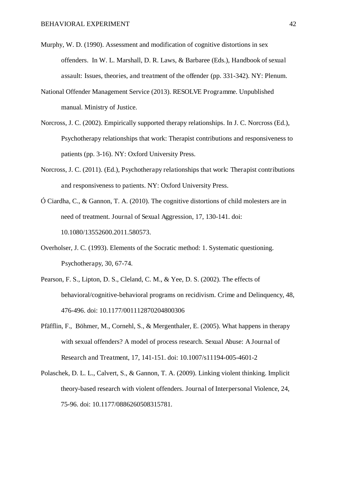- Murphy, W. D. (1990). Assessment and modification of cognitive distortions in sex offenders. In W. L. Marshall, D. R. Laws, & Barbaree (Eds.), Handbook of sexual assault: Issues, theories, and treatment of the offender (pp. 331-342). NY: Plenum.
- National Offender Management Service (2013). RESOLVE Programme. Unpublished manual. Ministry of Justice.
- Norcross, J. C. (2002). Empirically supported therapy relationships. In J. C. Norcross (Ed.), Psychotherapy relationships that work: Therapist contributions and responsiveness to patients (pp. 3-16). NY: Oxford University Press.
- Norcross, J. C. (2011). (Ed.), Psychotherapy relationships that work: Therapist contributions and responsiveness to patients. NY: Oxford University Press.
- Ó Ciardha, C., & Gannon, T. A. (2010). The cognitive distortions of child molesters are in need of treatment. Journal of Sexual Aggression, 17, 130-141. doi: 10.1080/13552600.2011.580573.
- Overholser, J. C. (1993). Elements of the Socratic method: 1. Systematic questioning. Psychotherapy, 30, 67-74.
- Pearson, F. S., Lipton, D. S., Cleland, C. M., & Yee, D. S. (2002). The effects of behavioral/cognitive-behavioral programs on recidivism. Crime and Delinquency, 48, 476-496. doi: 10.1177/001112870204800306
- Pfäfflin, F., Böhmer, M., Cornehl, S., & Mergenthaler, E. (2005). What happens in therapy with sexual offenders? A model of process research. Sexual Abuse: A Journal of Research and Treatment, 17, 141-151. doi: 10.1007/s11194-005-4601-2
- Polaschek, D. L. L., Calvert, S., & Gannon, T. A. (2009). Linking violent thinking. Implicit theory-based research with violent offenders. Journal of Interpersonal Violence, 24, 75-96. doi: 10.1177/0886260508315781.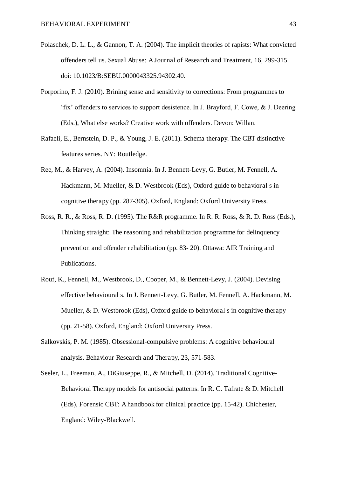- Polaschek, D. L. L., & Gannon, T. A. (2004). The implicit theories of rapists: What convicted offenders tell us. Sexual Abuse: A Journal of Research and Treatment, 16, 299-315. doi: 10.1023/B:SEBU.0000043325.94302.40.
- Porporino, F. J. (2010). Brining sense and sensitivity to corrections: From programmes to 'fix' offenders to services to support desistence. In J. Brayford, F. Cowe, & J. Deering (Eds.), What else works? Creative work with offenders. Devon: Willan.
- Rafaeli, E., Bernstein, D. P., & Young, J. E. (2011). Schema therapy. The CBT distinctive features series. NY: Routledge.
- Ree, M., & Harvey, A. (2004). Insomnia. In J. Bennett-Levy, G. Butler, M. Fennell, A. Hackmann, M. Mueller, & D. Westbrook (Eds), Oxford guide to behavioral s in cognitive therapy (pp. 287-305). Oxford, England: Oxford University Press.
- Ross, R. R., & Ross, R. D. (1995). The R&R programme. In R. R. Ross, & R. D. Ross (Eds.), Thinking straight: The reasoning and rehabilitation programme for delinquency prevention and offender rehabilitation (pp. 83- 20). Ottawa: AIR Training and Publications.
- Rouf, K., Fennell, M., Westbrook, D., Cooper, M., & Bennett-Levy, J. (2004). Devising effective behavioural s. In J. Bennett-Levy, G. Butler, M. Fennell, A. Hackmann, M. Mueller, & D. Westbrook (Eds), Oxford guide to behavioral s in cognitive therapy (pp. 21-58). Oxford, England: Oxford University Press.
- Salkovskis, P. M. (1985). Obsessional-compulsive problems: A cognitive behavioural analysis. Behaviour Research and Therapy, 23, 571-583.
- Seeler, L., Freeman, A., DiGiuseppe, R., & Mitchell, D. (2014). Traditional Cognitive-Behavioral Therapy models for antisocial patterns. In R. C. Tafrate & D. Mitchell (Eds), Forensic CBT: A handbook for clinical practice (pp. 15-42). Chichester, England: Wiley-Blackwell.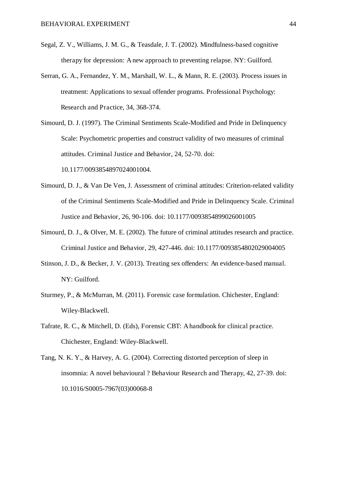- Segal, Z. V., Williams, J. M. G., & Teasdale, J. T. (2002). Mindfulness-based cognitive therapy for depression: A new approach to preventing relapse. NY: Guilford.
- Serran, G. A., Fernandez, Y. M., Marshall, W. L., & Mann, R. E. (2003). Process issues in treatment: Applications to sexual offender programs. Professional Psychology: Research and Practice, 34, 368-374.
- Simourd, D. J. (1997). The Criminal Sentiments Scale-Modified and Pride in Delinquency Scale: Psychometric properties and construct validity of two measures of criminal attitudes. Criminal Justice and Behavior, 24, 52-70. doi: 10.1177/0093854897024001004.
- Simourd, D. J., & Van De Ven, J. Assessment of criminal attitudes: Criterion-related validity of the Criminal Sentiments Scale-Modified and Pride in Delinquency Scale. Criminal Justice and Behavior, 26, 90-106. doi: 10.1177/0093854899026001005
- Simourd, D. J., & Olver, M. E. (2002). The future of criminal attitudes research and practice. Criminal Justice and Behavior, 29, 427-446. doi: 10.1177/0093854802029004005
- Stinson, J. D., & Becker, J. V. (2013). Treating sex offenders: An evidence-based manual. NY: Guilford.
- Sturmey, P., & McMurran, M. (2011). Forensic case formulation. Chichester, England: Wiley-Blackwell.
- Tafrate, R. C., & Mitchell, D. (Eds), Forensic CBT: A handbook for clinical practice. Chichester, England: Wiley-Blackwell.
- Tang, N. K. Y., & Harvey, A. G. (2004). Correcting distorted perception of sleep in insomnia: A novel behavioural ? Behaviour Research and Therapy, 42, 27-39. doi: 10.1016/S0005-7967(03)00068-8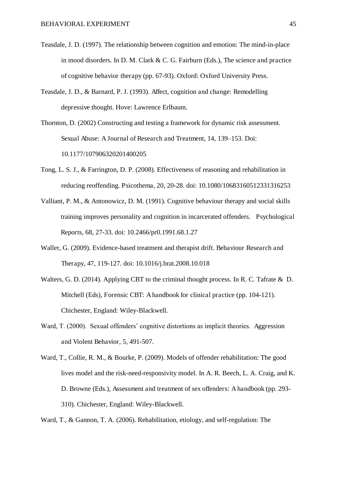- Teasdale, J. D. (1997). The relationship between cognition and emotion: The mind-in-place in mood disorders. In D. M. Clark & C. G. Fairburn (Eds.), The science and practice of cognitive behavior therapy (pp. 67-93). Oxford: Oxford University Press.
- Teasdale, J. D., & Barnard, P. J. (1993). Affect, cognition and change: Remodelling depressive thought. Hove: Lawrence Erlbaum.
- Thornton, D. (2002) Constructing and testing a framework for dynamic risk assessment. Sexual Abuse: A Journal of Research and Treatment, 14, 139–153. Doi: 10.1177/107906320201400205
- Tong, L. S. J., & Farrington, D. P. (2008). Effectiveness of reasoning and rehabilitation in reducing reoffending. Psicothema, 20, 20-28. doi: 10.1080/10683160512331316253
- Valliant, P. M., & Antonowicz, D. M. (1991). Cognitive behaviour therapy and social skills training improves personality and cognition in incarcerated offenders. Psychological Reports, 68, 27-33. doi: 10.2466/pr0.1991.68.1.27
- Waller, G. (2009). Evidence-based treatment and therapist drift. Behaviour Research and Therapy, 47, 119-127. doi: 10.1016/j.brat.2008.10.018
- Walters, G. D. (2014). Applying CBT to the criminal thought process. In R. C. Tafrate & D. Mitchell (Eds), Forensic CBT: A handbook for clinical practice (pp. 104-121). Chichester, England: Wiley-Blackwell.
- Ward, T. (2000). Sexual offenders' cognitive distortions as implicit theories. Aggression and Violent Behavior, 5, 491-507.
- Ward, T., Collie, R. M., & Bourke, P. (2009). Models of offender rehabilitation: The good lives model and the risk-need-responsivity model. In A. R. Beech, L. A. Craig, and K. D. Browne (Eds.), Assessment and treatment of sex offenders: A handbook (pp. 293- 310). Chichester, England: Wiley-Blackwell.
- Ward, T., & Gannon, T. A. (2006). Rehabilitation, etiology, and self-regulation: The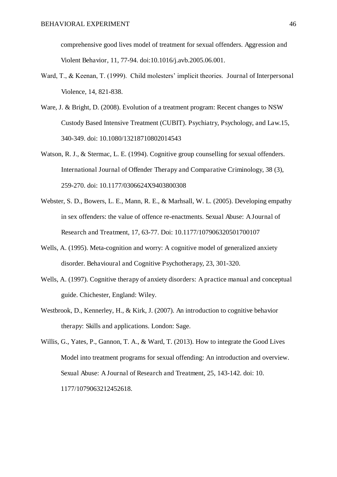comprehensive good lives model of treatment for sexual offenders. Aggression and Violent Behavior, 11, 77-94. doi:10.1016/j.avb.2005.06.001.

- Ward, T., & Keenan, T. (1999). Child molesters' implicit theories. Journal of Interpersonal Violence, 14, 821-838.
- Ware, J. & Bright, D. (2008). Evolution of a treatment program: Recent changes to NSW Custody Based Intensive Treatment (CUBIT). Psychiatry, Psychology, and Law.15, 340-349. doi: 10.1080/13218710802014543
- Watson, R. J., & Stermac, L. E. (1994). Cognitive group counselling for sexual offenders. International Journal of Offender Therapy and Comparative Criminology, 38 (3), 259-270. doi: 10.1177/0306624X9403800308
- Webster, S. D., Bowers, L. E., Mann, R. E., & Marhsall, W. L. (2005). Developing empathy in sex offenders: the value of offence re-enactments. Sexual Abuse: A Journal of Research and Treatment, 17, 63-77. Doi: 10.1177/107906320501700107
- Wells, A. (1995). Meta-cognition and worry: A cognitive model of generalized anxiety disorder. Behavioural and Cognitive Psychotherapy, 23, 301-320.
- Wells, A. (1997). Cognitive therapy of anxiety disorders: A practice manual and conceptual guide. Chichester, England: Wiley.
- Westbrook, D., Kennerley, H., & Kirk, J. (2007). An introduction to cognitive behavior therapy: Skills and applications. London: Sage.
- Willis, G., Yates, P., Gannon, T. A., & Ward, T. (2013). How to integrate the Good Lives Model into treatment programs for sexual offending: An introduction and overview. Sexual Abuse: A Journal of Research and Treatment, 25, 143-142. doi: 10. 1177/1079063212452618.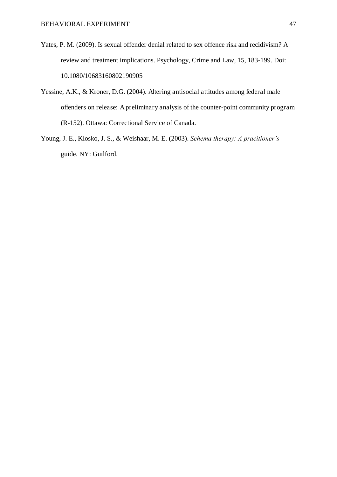- Yates, P. M. (2009). Is sexual offender denial related to sex offence risk and recidivism? A review and treatment implications. Psychology, Crime and Law, 15, 183-199. Doi: 10.1080/10683160802190905
- Yessine, A.K., & Kroner, D.G. (2004). Altering antisocial attitudes among federal male offenders on release: A preliminary analysis of the counter-point community program (R-152). Ottawa: Correctional Service of Canada.
- Young, J. E., Klosko, J. S., & Weishaar, M. E. (2003). *Schema therapy: A pracitioner's*  guide. NY: Guilford.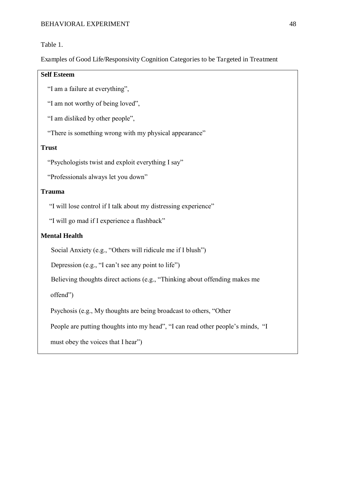#### Table 1.

Examples of Good Life/Responsivity Cognition Categories to be Targeted in Treatment

#### **Self Esteem**

"I am a failure at everything",

"I am not worthy of being loved",

"I am disliked by other people",

"There is something wrong with my physical appearance"

#### **Trust**

"Psychologists twist and exploit everything I say"

"Professionals always let you down"

#### **Trauma**

"I will lose control if I talk about my distressing experience"

"I will go mad if I experience a flashback"

#### **Mental Health**

Social Anxiety (e.g., "Others will ridicule me if I blush")

Depression (e.g., "I can't see any point to life")

Believing thoughts direct actions (e.g., "Thinking about offending makes me

offend")

Psychosis (e.g., My thoughts are being broadcast to others, "Other

People are putting thoughts into my head", "I can read other people's minds, "I

must obey the voices that I hear")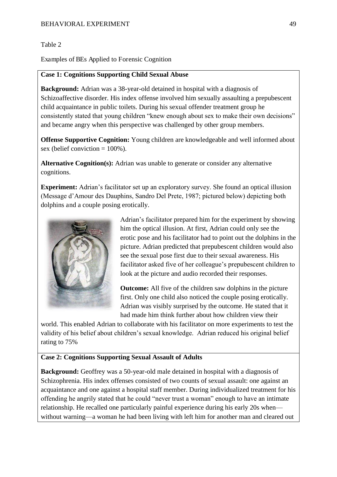#### Table 2

Examples of BEs Applied to Forensic Cognition

#### **Case 1: Cognitions Supporting Child Sexual Abuse**

**Background:** Adrian was a 38-year-old detained in hospital with a diagnosis of Schizoaffective disorder. His index offense involved him sexually assaulting a prepubescent child acquaintance in public toilets. During his sexual offender treatment group he consistently stated that young children "knew enough about sex to make their own decisions" and became angry when this perspective was challenged by other group members.

**Offense Supportive Cognition:** Young children are knowledgeable and well informed about sex (belief conviction  $= 100\%$ ).

**Alternative Cognition(s):** Adrian was unable to generate or consider any alternative cognitions.

**Experiment:** Adrian's facilitator set up an exploratory survey. She found an optical illusion (Message d'Amour des Dauphins, Sandro Del Prete, 1987; pictured below) depicting both dolphins and a couple posing erotically.



Adrian's facilitator prepared him for the experiment by showing him the optical illusion. At first, Adrian could only see the erotic pose and his facilitator had to point out the dolphins in the picture. Adrian predicted that prepubescent children would also see the sexual pose first due to their sexual awareness. His facilitator asked five of her colleague's prepubescent children to look at the picture and audio recorded their responses.

**Outcome:** All five of the children saw dolphins in the picture first. Only one child also noticed the couple posing erotically. Adrian was visibly surprised by the outcome. He stated that it had made him think further about how children view their

world. This enabled Adrian to collaborate with his facilitator on more experiments to test the validity of his belief about children's sexual knowledge. Adrian reduced his original belief rating to 75%

#### **Case 2: Cognitions Supporting Sexual Assault of Adults**

**Background:** Geoffrey was a 50-year-old male detained in hospital with a diagnosis of Schizophrenia. His index offenses consisted of two counts of sexual assault: one against an acquaintance and one against a hospital staff member. During individualized treatment for his offending he angrily stated that he could "never trust a woman" enough to have an intimate relationship. He recalled one particularly painful experience during his early 20s when without warning—a woman he had been living with left him for another man and cleared out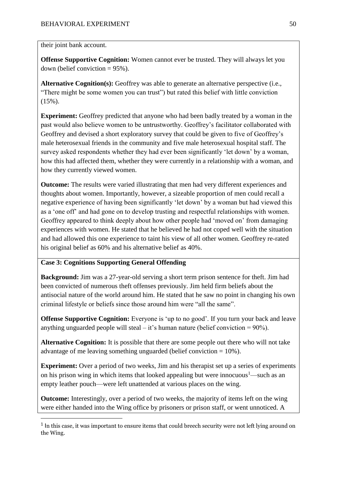their joint bank account.

**Offense Supportive Cognition:** Women cannot ever be trusted. They will always let you down (belief conviction  $= 95\%$ ).

**Alternative Cognition(s):** Geoffrey was able to generate an alternative perspective (i.e., "There might be some women you can trust") but rated this belief with little conviction (15%).

**Experiment:** Geoffrey predicted that anyone who had been badly treated by a woman in the past would also believe women to be untrustworthy. Geoffrey's facilitator collaborated with Geoffrey and devised a short exploratory survey that could be given to five of Geoffrey's male heterosexual friends in the community and five male heterosexual hospital staff. The survey asked respondents whether they had ever been significantly 'let down' by a woman, how this had affected them, whether they were currently in a relationship with a woman, and how they currently viewed women.

**Outcome:** The results were varied illustrating that men had very different experiences and thoughts about women. Importantly, however, a sizeable proportion of men could recall a negative experience of having been significantly 'let down' by a woman but had viewed this as a 'one off' and had gone on to develop trusting and respectful relationships with women. Geoffrey appeared to think deeply about how other people had 'moved on' from damaging experiences with women. He stated that he believed he had not coped well with the situation and had allowed this one experience to taint his view of all other women. Geoffrey re-rated his original belief as 60% and his alternative belief as 40%.

#### **Case 3: Cognitions Supporting General Offending**

l

**Background:** Jim was a 27-year-old serving a short term prison sentence for theft. Jim had been convicted of numerous theft offenses previously. Jim held firm beliefs about the antisocial nature of the world around him. He stated that he saw no point in changing his own criminal lifestyle or beliefs since those around him were "all the same".

**Offense Supportive Cognition:** Everyone is 'up to no good'. If you turn your back and leave anything unguarded people will steal – it's human nature (belief conviction  $= 90\%$ ).

**Alternative Cognition:** It is possible that there are some people out there who will not take advantage of me leaving something unguarded (belief conviction = 10%).

**Experiment:** Over a period of two weeks, Jim and his therapist set up a series of experiments on his prison wing in which items that looked appealing but were innocuous<sup>1</sup>—such as an empty leather pouch—were left unattended at various places on the wing.

**Outcome:** Interestingly, over a period of two weeks, the majority of items left on the wing were either handed into the Wing office by prisoners or prison staff, or went unnoticed. A

 $1$  In this case, it was important to ensure items that could breech security were not left lying around on the Wing.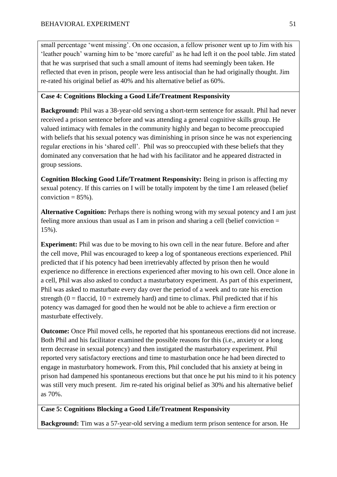small percentage 'went missing'. On one occasion, a fellow prisoner went up to Jim with his 'leather pouch' warning him to be 'more careful' as he had left it on the pool table. Jim stated that he was surprised that such a small amount of items had seemingly been taken. He reflected that even in prison, people were less antisocial than he had originally thought. Jim re-rated his original belief as 40% and his alternative belief as 60%.

#### **Case 4: Cognitions Blocking a Good Life/Treatment Responsivity**

**Background:** Phil was a 38-year-old serving a short-term sentence for assault. Phil had never received a prison sentence before and was attending a general cognitive skills group. He valued intimacy with females in the community highly and began to become preoccupied with beliefs that his sexual potency was diminishing in prison since he was not experiencing regular erections in his 'shared cell'.Phil was so preoccupied with these beliefs that they dominated any conversation that he had with his facilitator and he appeared distracted in group sessions.

**Cognition Blocking Good Life/Treatment Responsivity:** Being in prison is affecting my sexual potency. If this carries on I will be totally impotent by the time I am released (belief conviction  $= 85\%$ ).

**Alternative Cognition:** Perhaps there is nothing wrong with my sexual potency and I am just feeling more anxious than usual as I am in prison and sharing a cell (belief conviction = 15%).

**Experiment:** Phil was due to be moving to his own cell in the near future. Before and after the cell move, Phil was encouraged to keep a log of spontaneous erections experienced. Phil predicted that if his potency had been irretrievably affected by prison then he would experience no difference in erections experienced after moving to his own cell. Once alone in a cell, Phil was also asked to conduct a masturbatory experiment. As part of this experiment, Phil was asked to masturbate every day over the period of a week and to rate his erection strength ( $0 =$  flaccid,  $10 =$  extremely hard) and time to climax. Phil predicted that if his potency was damaged for good then he would not be able to achieve a firm erection or masturbate effectively.

**Outcome:** Once Phil moved cells, he reported that his spontaneous erections did not increase. Both Phil and his facilitator examined the possible reasons for this (i.e., anxiety or a long term decrease in sexual potency) and then instigated the masturbatory experiment. Phil reported very satisfactory erections and time to masturbation once he had been directed to engage in masturbatory homework. From this, Phil concluded that his anxiety at being in prison had dampened his spontaneous erections but that once he put his mind to it his potency was still very much present. Jim re-rated his original belief as 30% and his alternative belief as 70%.

#### **Case 5: Cognitions Blocking a Good Life/Treatment Responsivity**

**Background:** Tim was a 57-year-old serving a medium term prison sentence for arson. He